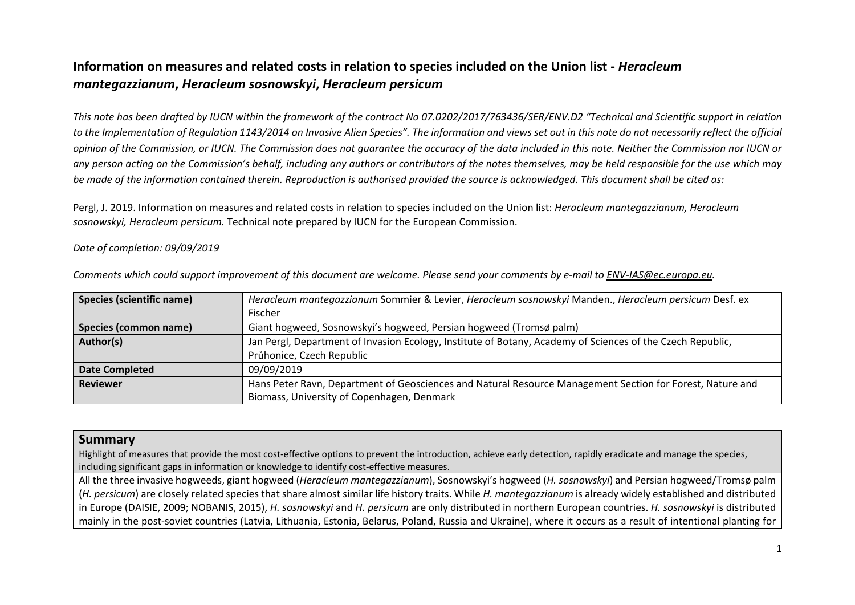# **Information on measures and related costs in relation to species included on the Union list -** *Heracleum mantegazzianum***,** *Heracleum sosnowskyi***,** *Heracleum persicum*

*This note has been drafted by IUCN within the framework of the contract No 07.0202/2017/763436/SER/ENV.D2 "Technical and Scientific support in relation to the Implementation of Regulation 1143/2014 on Invasive Alien Species". The information and views set out in this note do not necessarily reflect the official opinion of the Commission, or IUCN. The Commission does not guarantee the accuracy of the data included in this note. Neither the Commission nor IUCN or any person acting on the Commission's behalf, including any authors or contributors of the notes themselves, may be held responsible for the use which may be made of the information contained therein. Reproduction is authorised provided the source is acknowledged. This document shall be cited as:*

Pergl, J. 2019. Information on measures and related costs in relation to species included on the Union list: *Heracleum mantegazzianum, Heracleum sosnowskyi, Heracleum persicum.* Technical note prepared by IUCN for the European Commission.

#### *Date of completion: 09/09/2019*

| <b>Species (scientific name)</b> | Heracleum mantegazzianum Sommier & Levier, Heracleum sosnowskyi Manden., Heracleum persicum Desf. ex       |  |  |  |  |  |
|----------------------------------|------------------------------------------------------------------------------------------------------------|--|--|--|--|--|
|                                  | Fischer                                                                                                    |  |  |  |  |  |
| Species (common name)            | Giant hogweed, Sosnowskyi's hogweed, Persian hogweed (Tromsø palm)                                         |  |  |  |  |  |
| Author(s)                        | Jan Pergl, Department of Invasion Ecology, Institute of Botany, Academy of Sciences of the Czech Republic, |  |  |  |  |  |
|                                  | Průhonice, Czech Republic                                                                                  |  |  |  |  |  |
| <b>Date Completed</b>            | 09/09/2019                                                                                                 |  |  |  |  |  |
| <b>Reviewer</b>                  | Hans Peter Ravn, Department of Geosciences and Natural Resource Management Section for Forest, Nature and  |  |  |  |  |  |
|                                  | Biomass, University of Copenhagen, Denmark                                                                 |  |  |  |  |  |

*Comments which could support improvement of this document are welcome. Please send your comments by e-mail to [ENV-IAS@ec.europa.eu.](mailto:ENV-IAS@ec.europa.eu)*

### **Summary**

Highlight of measures that provide the most cost-effective options to prevent the introduction, achieve early detection, rapidly eradicate and manage the species, including significant gaps in information or knowledge to identify cost-effective measures.

All the three invasive hogweeds, giant hogweed (*Heracleum mantegazzianum*), Sosnowskyi's hogweed (*H. sosnowskyi*) and Persian hogweed/Tromsø palm (*H. persicum*) are closely related species that share almost similar life history traits. While *H. mantegazzianum* is already widely established and distributed in Europe (DAISIE, 2009; NOBANIS, 2015), *H. sosnowskyi* and *H. persicum* are only distributed in northern European countries. *H. sosnowskyi* is distributed mainly in the post-soviet countries (Latvia, Lithuania, Estonia, Belarus, Poland, Russia and Ukraine), where it occurs as a result of intentional planting for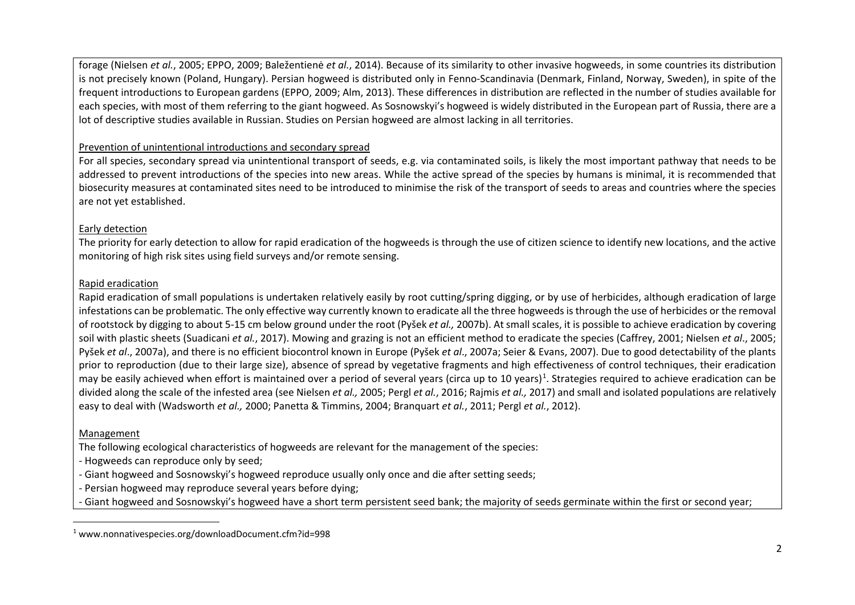<span id="page-1-0"></span>forage (Nielsen *et al.*, 2005; EPPO, 2009; Baležentienė *et al.*, 2014). Because of its similarity to other invasive hogweeds, in some countries its distribution is not precisely known (Poland, Hungary). Persian hogweed is distributed only in Fenno-Scandinavia (Denmark, Finland, Norway, Sweden), in spite of the frequent introductions to European gardens (EPPO, 2009; Alm, 2013). These differences in distribution are reflected in the number of studies available for each species, with most of them referring to the giant hogweed. As Sosnowskyi's hogweed is widely distributed in the European part of Russia, there are a lot of descriptive studies available in Russian. Studies on Persian hogweed are almost lacking in all territories.

### Prevention of unintentional introductions and secondary spread

For all species, secondary spread via unintentional transport of seeds, e.g. via contaminated soils, is likely the most important pathway that needs to be addressed to prevent introductions of the species into new areas. While the active spread of the species by humans is minimal, it is recommended that biosecurity measures at contaminated sites need to be introduced to minimise the risk of the transport of seeds to areas and countries where the species are not yet established.

#### Early detection

The priority for early detection to allow for rapid eradication of the hogweeds is through the use of citizen science to identify new locations, and the active monitoring of high risk sites using field surveys and/or remote sensing.

#### Rapid eradication

Rapid eradication of small populations is undertaken relatively easily by root cutting/spring digging, or by use of herbicides, although eradication of large infestations can be problematic. The only effective way currently known to eradicate all the three hogweeds is through the use of herbicides or the removal of rootstock by digging to about 5-15 cm below ground under the root (Pyšek *et al.,* 2007b). At small scales, it is possible to achieve eradication by covering soil with plastic sheets (Suadicani *et al.*, 2017). Mowing and grazing is not an efficient method to eradicate the species (Caffrey, 2001; Nielsen *et al*., 2005; Pyšek *et al*., 2007a), and there is no efficient biocontrol known in Europe (Pyšek *et al*., 2007a; Seier & Evans, 2007). Due to good detectability of the plants prior to reproduction (due to their large size), absence of spread by vegetative fragments and high effectiveness of control techniques, their eradication may be easily achieved when effort is maintained over a period of several years (circa up to [1](#page-1-0)0 years)<sup>1</sup>. Strategies required to achieve eradication can be divided along the scale of the infested area (see Nielsen *et al.,* 2005; Pergl *et al.*, 2016; Rajmis *et al.,* 2017) and small and isolated populations are relatively easy to deal with (Wadsworth *et al.,* 2000; Panetta & Timmins, 2004; Branquart *et al.*, 2011; Pergl *et al.*, 2012).

#### Management

The following ecological characteristics of hogweeds are relevant for the management of the species:

- Hogweeds can reproduce only by seed;

- *-* Giant hogweed and Sosnowskyi's hogweed reproduce usually only once and die after setting seeds;
- Persian hogweed may reproduce several years before dying;
- Giant hogweed and Sosnowskyi's hogweed have a short term persistent seed bank; the majority of seeds germinate within the first or second year;

 <sup>1</sup> www.nonnativespecies.org/downloadDocument.cfm?id=998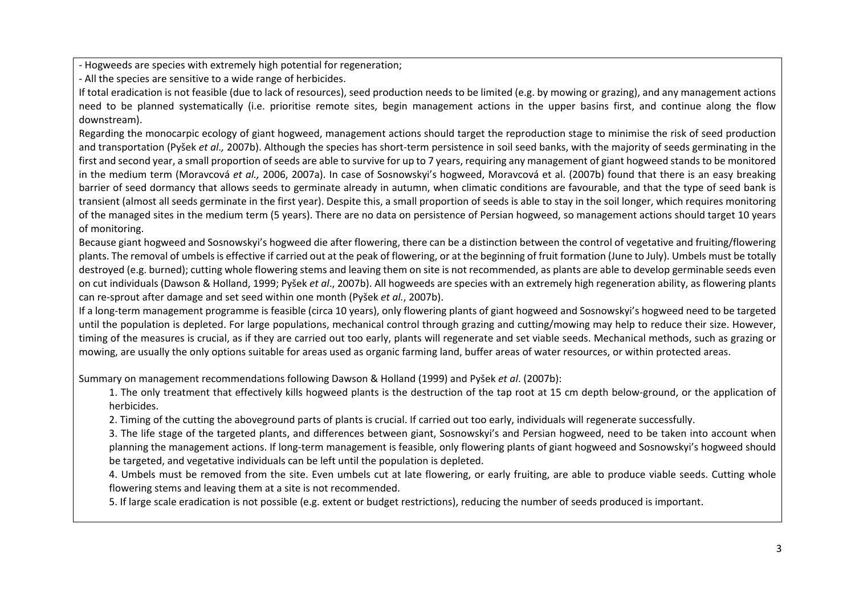- Hogweeds are species with extremely high potential for regeneration;

- All the species are sensitive to a wide range of herbicides.

If total eradication is not feasible (due to lack of resources), seed production needs to be limited (e.g. by mowing or grazing), and any management actions need to be planned systematically (i.e. prioritise remote sites, begin management actions in the upper basins first, and continue along the flow downstream).

Regarding the monocarpic ecology of giant hogweed, management actions should target the reproduction stage to minimise the risk of seed production and transportation (Pyšek *et al.,* 2007b). Although the species has short-term persistence in soil seed banks, with the majority of seeds germinating in the first and second year, a small proportion of seeds are able to survive for up to 7 years, requiring any management of giant hogweed stands to be monitored in the medium term (Moravcová *et al.,* 2006, 2007a). In case of Sosnowskyi's hogweed, Moravcová et al. (2007b) found that there is an easy breaking barrier of seed dormancy that allows seeds to germinate already in autumn, when climatic conditions are favourable, and that the type of seed bank is transient (almost all seeds germinate in the first year). Despite this, a small proportion of seeds is able to stay in the soil longer, which requires monitoring of the managed sites in the medium term (5 years). There are no data on persistence of Persian hogweed, so management actions should target 10 years of monitoring.

Because giant hogweed and Sosnowskyi's hogweed die after flowering, there can be a distinction between the control of vegetative and fruiting/flowering plants. The removal of umbels is effective if carried out at the peak of flowering, or at the beginning of fruit formation (June to July). Umbels must be totally destroyed (e.g. burned); cutting whole flowering stems and leaving them on site is not recommended, as plants are able to develop germinable seeds even on cut individuals (Dawson & Holland, 1999; Pyšek *et al*., 2007b). All hogweeds are species with an extremely high regeneration ability, as flowering plants can re-sprout after damage and set seed within one month (Pyšek *et al.*, 2007b).

If a long-term management programme is feasible (circa 10 years), only flowering plants of giant hogweed and Sosnowskyi's hogweed need to be targeted until the population is depleted. For large populations, mechanical control through grazing and cutting/mowing may help to reduce their size. However, timing of the measures is crucial, as if they are carried out too early, plants will regenerate and set viable seeds. Mechanical methods, such as grazing or mowing, are usually the only options suitable for areas used as organic farming land, buffer areas of water resources, or within protected areas.

Summary on management recommendations following Dawson & Holland (1999) and Pyšek *et al*. (2007b):

1. The only treatment that effectively kills hogweed plants is the destruction of the tap root at 15 cm depth below-ground, or the application of herbicides.

2. Timing of the cutting the aboveground parts of plants is crucial. If carried out too early, individuals will regenerate successfully.

3. The life stage of the targeted plants, and differences between giant, Sosnowskyi's and Persian hogweed, need to be taken into account when planning the management actions. If long-term management is feasible, only flowering plants of giant hogweed and Sosnowskyi's hogweed should be targeted, and vegetative individuals can be left until the population is depleted.

4. Umbels must be removed from the site. Even umbels cut at late flowering, or early fruiting, are able to produce viable seeds. Cutting whole flowering stems and leaving them at a site is not recommended.

5. If large scale eradication is not possible (e.g. extent or budget restrictions), reducing the number of seeds produced is important.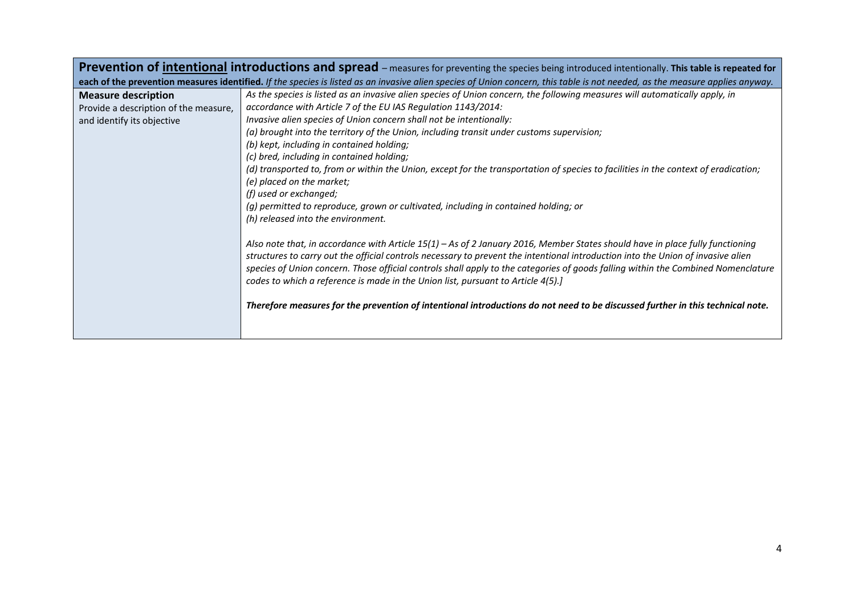|                                       | Prevention of intentional introductions and spread – measures for preventing the species being introduced intentionally. This table is repeated for                                                                                                                                                                                                                                                                                                                                                                                                                                                                          |
|---------------------------------------|------------------------------------------------------------------------------------------------------------------------------------------------------------------------------------------------------------------------------------------------------------------------------------------------------------------------------------------------------------------------------------------------------------------------------------------------------------------------------------------------------------------------------------------------------------------------------------------------------------------------------|
|                                       | each of the prevention measures identified. If the species is listed as an invasive alien species of Union concern, this table is not needed, as the measure applies anyway.                                                                                                                                                                                                                                                                                                                                                                                                                                                 |
| <b>Measure description</b>            | As the species is listed as an invasive alien species of Union concern, the following measures will automatically apply, in                                                                                                                                                                                                                                                                                                                                                                                                                                                                                                  |
| Provide a description of the measure, | accordance with Article 7 of the EU IAS Regulation 1143/2014:                                                                                                                                                                                                                                                                                                                                                                                                                                                                                                                                                                |
| and identify its objective            | Invasive alien species of Union concern shall not be intentionally:                                                                                                                                                                                                                                                                                                                                                                                                                                                                                                                                                          |
|                                       | (a) brought into the territory of the Union, including transit under customs supervision;                                                                                                                                                                                                                                                                                                                                                                                                                                                                                                                                    |
|                                       | (b) kept, including in contained holding;                                                                                                                                                                                                                                                                                                                                                                                                                                                                                                                                                                                    |
|                                       | (c) bred, including in contained holding;                                                                                                                                                                                                                                                                                                                                                                                                                                                                                                                                                                                    |
|                                       | (d) transported to, from or within the Union, except for the transportation of species to facilities in the context of eradication;                                                                                                                                                                                                                                                                                                                                                                                                                                                                                          |
|                                       | (e) placed on the market;                                                                                                                                                                                                                                                                                                                                                                                                                                                                                                                                                                                                    |
|                                       | (f) used or exchanged;                                                                                                                                                                                                                                                                                                                                                                                                                                                                                                                                                                                                       |
|                                       | (g) permitted to reproduce, grown or cultivated, including in contained holding; or                                                                                                                                                                                                                                                                                                                                                                                                                                                                                                                                          |
|                                       | (h) released into the environment.                                                                                                                                                                                                                                                                                                                                                                                                                                                                                                                                                                                           |
|                                       | Also note that, in accordance with Article 15(1) – As of 2 January 2016, Member States should have in place fully functioning<br>structures to carry out the official controls necessary to prevent the intentional introduction into the Union of invasive alien<br>species of Union concern. Those official controls shall apply to the categories of goods falling within the Combined Nomenclature<br>codes to which a reference is made in the Union list, pursuant to Article 4(5).]<br>Therefore measures for the prevention of intentional introductions do not need to be discussed further in this technical note. |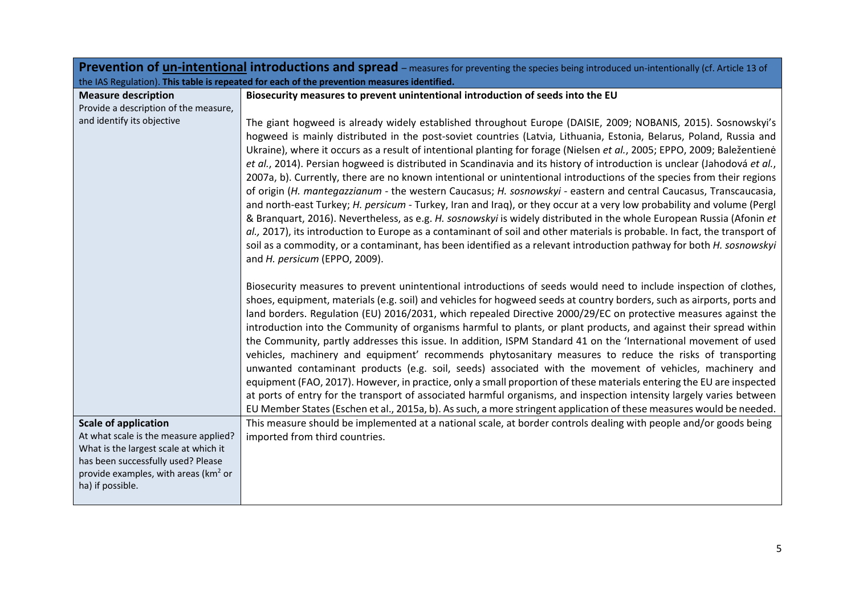|                                                                                                                                                                                              | <b>Prevention of un-intentional introductions and spread</b> – measures for preventing the species being introduced un-intentionally (cf. Article 13 of                                                                                                                                                                                                                                                                                                                                                                                                                                                                                                                                                                                                                                                                                                                                                                                                                                                                                                                                                                                                                                                                                                                               |
|----------------------------------------------------------------------------------------------------------------------------------------------------------------------------------------------|---------------------------------------------------------------------------------------------------------------------------------------------------------------------------------------------------------------------------------------------------------------------------------------------------------------------------------------------------------------------------------------------------------------------------------------------------------------------------------------------------------------------------------------------------------------------------------------------------------------------------------------------------------------------------------------------------------------------------------------------------------------------------------------------------------------------------------------------------------------------------------------------------------------------------------------------------------------------------------------------------------------------------------------------------------------------------------------------------------------------------------------------------------------------------------------------------------------------------------------------------------------------------------------|
|                                                                                                                                                                                              | the IAS Regulation). This table is repeated for each of the prevention measures identified.                                                                                                                                                                                                                                                                                                                                                                                                                                                                                                                                                                                                                                                                                                                                                                                                                                                                                                                                                                                                                                                                                                                                                                                           |
| <b>Measure description</b>                                                                                                                                                                   | Biosecurity measures to prevent unintentional introduction of seeds into the EU                                                                                                                                                                                                                                                                                                                                                                                                                                                                                                                                                                                                                                                                                                                                                                                                                                                                                                                                                                                                                                                                                                                                                                                                       |
| Provide a description of the measure,                                                                                                                                                        |                                                                                                                                                                                                                                                                                                                                                                                                                                                                                                                                                                                                                                                                                                                                                                                                                                                                                                                                                                                                                                                                                                                                                                                                                                                                                       |
| and identify its objective                                                                                                                                                                   | The giant hogweed is already widely established throughout Europe (DAISIE, 2009; NOBANIS, 2015). Sosnowskyi's<br>hogweed is mainly distributed in the post-soviet countries (Latvia, Lithuania, Estonia, Belarus, Poland, Russia and<br>Ukraine), where it occurs as a result of intentional planting for forage (Nielsen et al., 2005; EPPO, 2009; Baležentienė<br>et al., 2014). Persian hogweed is distributed in Scandinavia and its history of introduction is unclear (Jahodová et al.,<br>2007a, b). Currently, there are no known intentional or unintentional introductions of the species from their regions<br>of origin (H. mantegazzianum - the western Caucasus; H. sosnowskyi - eastern and central Caucasus, Transcaucasia,<br>and north-east Turkey; H. persicum - Turkey, Iran and Iraq), or they occur at a very low probability and volume (Pergl<br>& Branquart, 2016). Nevertheless, as e.g. H. sosnowskyi is widely distributed in the whole European Russia (Afonin et<br>al., 2017), its introduction to Europe as a contaminant of soil and other materials is probable. In fact, the transport of<br>soil as a commodity, or a contaminant, has been identified as a relevant introduction pathway for both H. sosnowskyi<br>and H. persicum (EPPO, 2009). |
|                                                                                                                                                                                              | Biosecurity measures to prevent unintentional introductions of seeds would need to include inspection of clothes,<br>shoes, equipment, materials (e.g. soil) and vehicles for hogweed seeds at country borders, such as airports, ports and<br>land borders. Regulation (EU) 2016/2031, which repealed Directive 2000/29/EC on protective measures against the<br>introduction into the Community of organisms harmful to plants, or plant products, and against their spread within<br>the Community, partly addresses this issue. In addition, ISPM Standard 41 on the 'International movement of used<br>vehicles, machinery and equipment' recommends phytosanitary measures to reduce the risks of transporting<br>unwanted contaminant products (e.g. soil, seeds) associated with the movement of vehicles, machinery and<br>equipment (FAO, 2017). However, in practice, only a small proportion of these materials entering the EU are inspected<br>at ports of entry for the transport of associated harmful organisms, and inspection intensity largely varies between<br>EU Member States (Eschen et al., 2015a, b). As such, a more stringent application of these measures would be needed.                                                                             |
| <b>Scale of application</b>                                                                                                                                                                  | This measure should be implemented at a national scale, at border controls dealing with people and/or goods being                                                                                                                                                                                                                                                                                                                                                                                                                                                                                                                                                                                                                                                                                                                                                                                                                                                                                                                                                                                                                                                                                                                                                                     |
| At what scale is the measure applied?<br>What is the largest scale at which it<br>has been successfully used? Please<br>provide examples, with areas (km <sup>2</sup> or<br>ha) if possible. | imported from third countries.                                                                                                                                                                                                                                                                                                                                                                                                                                                                                                                                                                                                                                                                                                                                                                                                                                                                                                                                                                                                                                                                                                                                                                                                                                                        |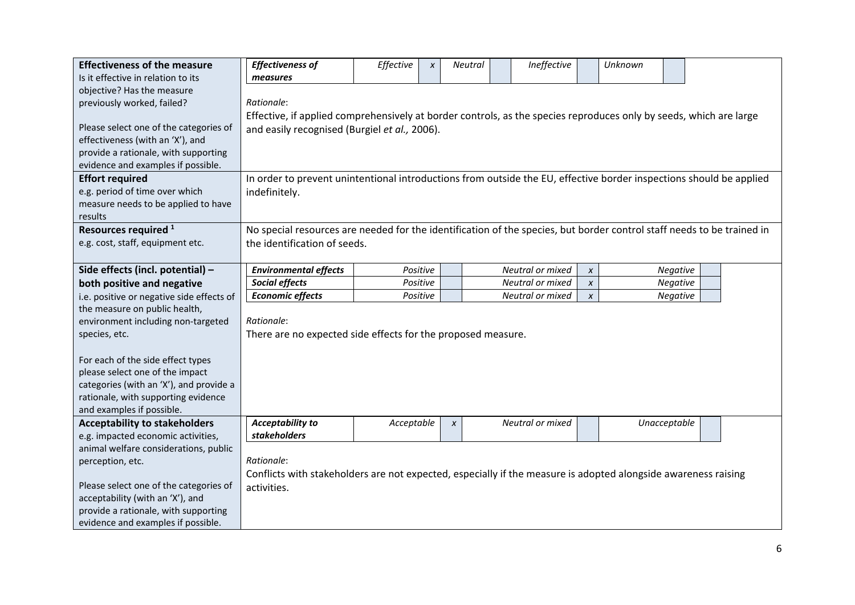| <b>Effectiveness of the measure</b>       | <b>Effectiveness of</b>                                                                                                | Effective                                                                                                           | X        | Neutral      |  | Ineffective      |                  | Unknown      |          |  |  |  |
|-------------------------------------------|------------------------------------------------------------------------------------------------------------------------|---------------------------------------------------------------------------------------------------------------------|----------|--------------|--|------------------|------------------|--------------|----------|--|--|--|
| Is it effective in relation to its        | measures                                                                                                               |                                                                                                                     |          |              |  |                  |                  |              |          |  |  |  |
| objective? Has the measure                |                                                                                                                        |                                                                                                                     |          |              |  |                  |                  |              |          |  |  |  |
| previously worked, failed?                | Rationale:                                                                                                             |                                                                                                                     |          |              |  |                  |                  |              |          |  |  |  |
|                                           |                                                                                                                        | Effective, if applied comprehensively at border controls, as the species reproduces only by seeds, which are large  |          |              |  |                  |                  |              |          |  |  |  |
| Please select one of the categories of    |                                                                                                                        | and easily recognised (Burgiel et al., 2006).                                                                       |          |              |  |                  |                  |              |          |  |  |  |
| effectiveness (with an 'X'), and          |                                                                                                                        |                                                                                                                     |          |              |  |                  |                  |              |          |  |  |  |
| provide a rationale, with supporting      |                                                                                                                        |                                                                                                                     |          |              |  |                  |                  |              |          |  |  |  |
| evidence and examples if possible.        |                                                                                                                        |                                                                                                                     |          |              |  |                  |                  |              |          |  |  |  |
| <b>Effort required</b>                    |                                                                                                                        | In order to prevent unintentional introductions from outside the EU, effective border inspections should be applied |          |              |  |                  |                  |              |          |  |  |  |
| e.g. period of time over which            | indefinitely.                                                                                                          |                                                                                                                     |          |              |  |                  |                  |              |          |  |  |  |
| measure needs to be applied to have       |                                                                                                                        |                                                                                                                     |          |              |  |                  |                  |              |          |  |  |  |
| results                                   |                                                                                                                        |                                                                                                                     |          |              |  |                  |                  |              |          |  |  |  |
| Resources required <sup>1</sup>           | No special resources are needed for the identification of the species, but border control staff needs to be trained in |                                                                                                                     |          |              |  |                  |                  |              |          |  |  |  |
| e.g. cost, staff, equipment etc.          | the identification of seeds.                                                                                           |                                                                                                                     |          |              |  |                  |                  |              |          |  |  |  |
|                                           |                                                                                                                        |                                                                                                                     |          |              |  |                  |                  |              |          |  |  |  |
| Side effects (incl. potential) -          | <b>Environmental effects</b>                                                                                           | Positive                                                                                                            |          |              |  | Neutral or mixed | $\pmb{\chi}$     |              | Negative |  |  |  |
| both positive and negative                | Social effects                                                                                                         |                                                                                                                     | Positive |              |  | Neutral or mixed | $\pmb{\chi}$     |              | Negative |  |  |  |
| i.e. positive or negative side effects of | <b>Economic effects</b>                                                                                                | Positive                                                                                                            |          |              |  | Neutral or mixed | $\boldsymbol{x}$ |              | Negative |  |  |  |
| the measure on public health,             |                                                                                                                        |                                                                                                                     |          |              |  |                  |                  |              |          |  |  |  |
| environment including non-targeted        | Rationale:                                                                                                             |                                                                                                                     |          |              |  |                  |                  |              |          |  |  |  |
| species, etc.                             | There are no expected side effects for the proposed measure.                                                           |                                                                                                                     |          |              |  |                  |                  |              |          |  |  |  |
|                                           |                                                                                                                        |                                                                                                                     |          |              |  |                  |                  |              |          |  |  |  |
| For each of the side effect types         |                                                                                                                        |                                                                                                                     |          |              |  |                  |                  |              |          |  |  |  |
| please select one of the impact           |                                                                                                                        |                                                                                                                     |          |              |  |                  |                  |              |          |  |  |  |
| categories (with an 'X'), and provide a   |                                                                                                                        |                                                                                                                     |          |              |  |                  |                  |              |          |  |  |  |
| rationale, with supporting evidence       |                                                                                                                        |                                                                                                                     |          |              |  |                  |                  |              |          |  |  |  |
| and examples if possible.                 |                                                                                                                        |                                                                                                                     |          |              |  |                  |                  |              |          |  |  |  |
| <b>Acceptability to stakeholders</b>      | <b>Acceptability to</b>                                                                                                | Acceptable                                                                                                          |          | $\pmb{\chi}$ |  | Neutral or mixed |                  | Unacceptable |          |  |  |  |
| e.g. impacted economic activities,        | stakeholders                                                                                                           |                                                                                                                     |          |              |  |                  |                  |              |          |  |  |  |
| animal welfare considerations, public     |                                                                                                                        |                                                                                                                     |          |              |  |                  |                  |              |          |  |  |  |
| perception, etc.                          | Rationale:                                                                                                             |                                                                                                                     |          |              |  |                  |                  |              |          |  |  |  |
|                                           | Conflicts with stakeholders are not expected, especially if the measure is adopted alongside awareness raising         |                                                                                                                     |          |              |  |                  |                  |              |          |  |  |  |
| Please select one of the categories of    | activities.                                                                                                            |                                                                                                                     |          |              |  |                  |                  |              |          |  |  |  |
| acceptability (with an 'X'), and          |                                                                                                                        |                                                                                                                     |          |              |  |                  |                  |              |          |  |  |  |
| provide a rationale, with supporting      |                                                                                                                        |                                                                                                                     |          |              |  |                  |                  |              |          |  |  |  |
| evidence and examples if possible.        |                                                                                                                        |                                                                                                                     |          |              |  |                  |                  |              |          |  |  |  |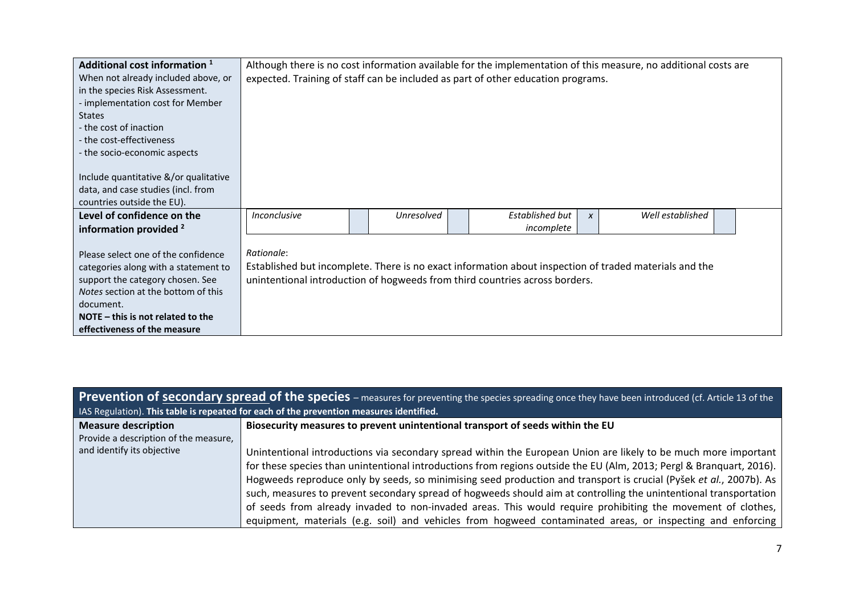| Additional cost information <sup>1</sup>   |                     | Although there is no cost information available for the implementation of this measure, no additional costs are |  |                                                                                                        |                  |  |  |  |  |  |  |
|--------------------------------------------|---------------------|-----------------------------------------------------------------------------------------------------------------|--|--------------------------------------------------------------------------------------------------------|------------------|--|--|--|--|--|--|
| When not already included above, or        |                     | expected. Training of staff can be included as part of other education programs.                                |  |                                                                                                        |                  |  |  |  |  |  |  |
| in the species Risk Assessment.            |                     |                                                                                                                 |  |                                                                                                        |                  |  |  |  |  |  |  |
| - implementation cost for Member           |                     |                                                                                                                 |  |                                                                                                        |                  |  |  |  |  |  |  |
| <b>States</b>                              |                     |                                                                                                                 |  |                                                                                                        |                  |  |  |  |  |  |  |
| - the cost of inaction                     |                     |                                                                                                                 |  |                                                                                                        |                  |  |  |  |  |  |  |
| - the cost-effectiveness                   |                     |                                                                                                                 |  |                                                                                                        |                  |  |  |  |  |  |  |
| - the socio-economic aspects               |                     |                                                                                                                 |  |                                                                                                        |                  |  |  |  |  |  |  |
|                                            |                     |                                                                                                                 |  |                                                                                                        |                  |  |  |  |  |  |  |
| Include quantitative &/or qualitative      |                     |                                                                                                                 |  |                                                                                                        |                  |  |  |  |  |  |  |
| data, and case studies (incl. from         |                     |                                                                                                                 |  |                                                                                                        |                  |  |  |  |  |  |  |
| countries outside the EU).                 |                     |                                                                                                                 |  |                                                                                                        |                  |  |  |  |  |  |  |
| Level of confidence on the                 | <i>Inconclusive</i> | Unresolved                                                                                                      |  | Established but                                                                                        | Well established |  |  |  |  |  |  |
| information provided <sup>2</sup>          |                     |                                                                                                                 |  | incomplete                                                                                             |                  |  |  |  |  |  |  |
|                                            |                     |                                                                                                                 |  |                                                                                                        |                  |  |  |  |  |  |  |
| Please select one of the confidence        | Rationale:          |                                                                                                                 |  |                                                                                                        |                  |  |  |  |  |  |  |
| categories along with a statement to       |                     |                                                                                                                 |  | Established but incomplete. There is no exact information about inspection of traded materials and the |                  |  |  |  |  |  |  |
| support the category chosen. See           |                     |                                                                                                                 |  | unintentional introduction of hogweeds from third countries across borders.                            |                  |  |  |  |  |  |  |
| <i>Notes</i> section at the bottom of this |                     |                                                                                                                 |  |                                                                                                        |                  |  |  |  |  |  |  |
| document.                                  |                     |                                                                                                                 |  |                                                                                                        |                  |  |  |  |  |  |  |
| NOTE $-$ this is not related to the        |                     |                                                                                                                 |  |                                                                                                        |                  |  |  |  |  |  |  |
| effectiveness of the measure               |                     |                                                                                                                 |  |                                                                                                        |                  |  |  |  |  |  |  |

| <b>Prevention of secondary spread of the species</b> – measures for preventing the species spreading once they have been introduced (cf. Article 13 of the |                                                                                                                      |  |  |  |  |  |  |  |  |  |
|------------------------------------------------------------------------------------------------------------------------------------------------------------|----------------------------------------------------------------------------------------------------------------------|--|--|--|--|--|--|--|--|--|
| IAS Regulation). This table is repeated for each of the prevention measures identified.                                                                    |                                                                                                                      |  |  |  |  |  |  |  |  |  |
| <b>Measure description</b>                                                                                                                                 | Biosecurity measures to prevent unintentional transport of seeds within the EU                                       |  |  |  |  |  |  |  |  |  |
| Provide a description of the measure,                                                                                                                      |                                                                                                                      |  |  |  |  |  |  |  |  |  |
| and identify its objective                                                                                                                                 | Unintentional introductions via secondary spread within the European Union are likely to be much more important      |  |  |  |  |  |  |  |  |  |
|                                                                                                                                                            | for these species than unintentional introductions from regions outside the EU (Alm, 2013; Pergl & Branquart, 2016). |  |  |  |  |  |  |  |  |  |
|                                                                                                                                                            | Hogweeds reproduce only by seeds, so minimising seed production and transport is crucial (Pyšek et al., 2007b). As   |  |  |  |  |  |  |  |  |  |
|                                                                                                                                                            | such, measures to prevent secondary spread of hogweeds should aim at controlling the unintentional transportation    |  |  |  |  |  |  |  |  |  |
|                                                                                                                                                            | of seeds from already invaded to non-invaded areas. This would require prohibiting the movement of clothes,          |  |  |  |  |  |  |  |  |  |
|                                                                                                                                                            | equipment, materials (e.g. soil) and vehicles from hogweed contaminated areas, or inspecting and enforcing           |  |  |  |  |  |  |  |  |  |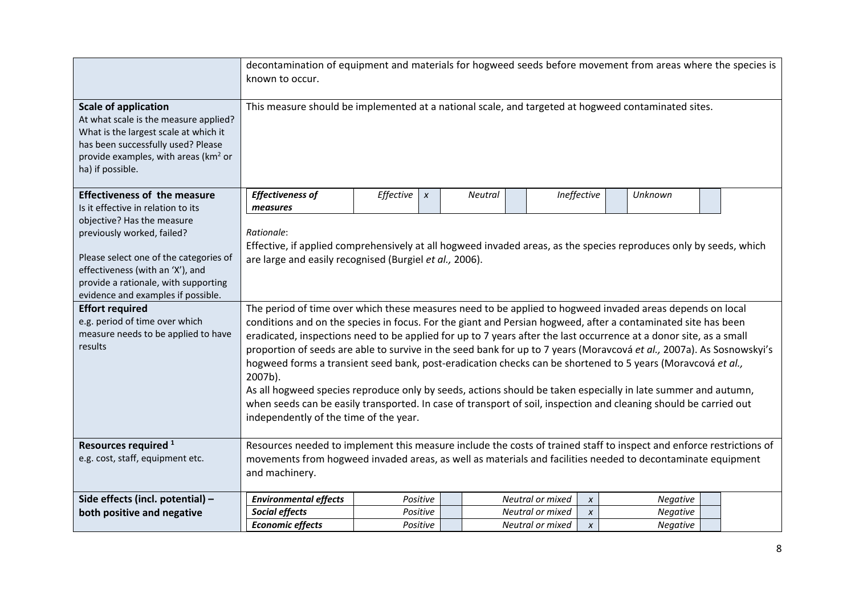|                                                                                                                                                                                                                                                                                                                                    | decontamination of equipment and materials for hogweed seeds before movement from areas where the species is<br>known to occur.                                                                                                                                                                                                                                                                                                                                                                                                                                                                                                                                                                                                                                                                                                                                                                                                                                                                                                                                                                |                                                                |          |  |                  |                  |  |          |  |  |  |  |
|------------------------------------------------------------------------------------------------------------------------------------------------------------------------------------------------------------------------------------------------------------------------------------------------------------------------------------|------------------------------------------------------------------------------------------------------------------------------------------------------------------------------------------------------------------------------------------------------------------------------------------------------------------------------------------------------------------------------------------------------------------------------------------------------------------------------------------------------------------------------------------------------------------------------------------------------------------------------------------------------------------------------------------------------------------------------------------------------------------------------------------------------------------------------------------------------------------------------------------------------------------------------------------------------------------------------------------------------------------------------------------------------------------------------------------------|----------------------------------------------------------------|----------|--|------------------|------------------|--|----------|--|--|--|--|
| <b>Scale of application</b><br>At what scale is the measure applied?<br>What is the largest scale at which it<br>has been successfully used? Please<br>provide examples, with areas (km <sup>2</sup> or<br>ha) if possible.                                                                                                        | This measure should be implemented at a national scale, and targeted at hogweed contaminated sites.                                                                                                                                                                                                                                                                                                                                                                                                                                                                                                                                                                                                                                                                                                                                                                                                                                                                                                                                                                                            |                                                                |          |  |                  |                  |  |          |  |  |  |  |
| <b>Effectiveness of the measure</b><br>Is it effective in relation to its                                                                                                                                                                                                                                                          | <b>Effectiveness of</b>                                                                                                                                                                                                                                                                                                                                                                                                                                                                                                                                                                                                                                                                                                                                                                                                                                                                                                                                                                                                                                                                        | Effective<br>Ineffective<br>Unknown<br>Neutral<br>$\pmb{\chi}$ |          |  |                  |                  |  |          |  |  |  |  |
| objective? Has the measure<br>previously worked, failed?<br>Please select one of the categories of<br>effectiveness (with an 'X'), and<br>provide a rationale, with supporting<br>evidence and examples if possible.<br><b>Effort required</b><br>e.g. period of time over which<br>measure needs to be applied to have<br>results | measures<br>Rationale:<br>Effective, if applied comprehensively at all hogweed invaded areas, as the species reproduces only by seeds, which<br>are large and easily recognised (Burgiel et al., 2006).<br>The period of time over which these measures need to be applied to hogweed invaded areas depends on local<br>conditions and on the species in focus. For the giant and Persian hogweed, after a contaminated site has been<br>eradicated, inspections need to be applied for up to 7 years after the last occurrence at a donor site, as a small<br>proportion of seeds are able to survive in the seed bank for up to 7 years (Moravcová et al., 2007a). As Sosnowskyi's<br>hogweed forms a transient seed bank, post-eradication checks can be shortened to 5 years (Moravcová et al.,<br>2007b).<br>As all hogweed species reproduce only by seeds, actions should be taken especially in late summer and autumn,<br>when seeds can be easily transported. In case of transport of soil, inspection and cleaning should be carried out<br>independently of the time of the year. |                                                                |          |  |                  |                  |  |          |  |  |  |  |
| Resources required <sup>1</sup><br>e.g. cost, staff, equipment etc.                                                                                                                                                                                                                                                                | Resources needed to implement this measure include the costs of trained staff to inspect and enforce restrictions of<br>movements from hogweed invaded areas, as well as materials and facilities needed to decontaminate equipment<br>and machinery.                                                                                                                                                                                                                                                                                                                                                                                                                                                                                                                                                                                                                                                                                                                                                                                                                                          |                                                                |          |  |                  |                  |  |          |  |  |  |  |
| Side effects (incl. potential) -                                                                                                                                                                                                                                                                                                   | <b>Environmental effects</b>                                                                                                                                                                                                                                                                                                                                                                                                                                                                                                                                                                                                                                                                                                                                                                                                                                                                                                                                                                                                                                                                   |                                                                | Positive |  | Neutral or mixed | $\pmb{\chi}$     |  | Negative |  |  |  |  |
| both positive and negative                                                                                                                                                                                                                                                                                                         | Social effects                                                                                                                                                                                                                                                                                                                                                                                                                                                                                                                                                                                                                                                                                                                                                                                                                                                                                                                                                                                                                                                                                 |                                                                | Positive |  | Neutral or mixed | $\pmb{\chi}$     |  | Negative |  |  |  |  |
|                                                                                                                                                                                                                                                                                                                                    | <b>Economic effects</b>                                                                                                                                                                                                                                                                                                                                                                                                                                                                                                                                                                                                                                                                                                                                                                                                                                                                                                                                                                                                                                                                        |                                                                | Positive |  | Neutral or mixed | $\boldsymbol{x}$ |  | Negative |  |  |  |  |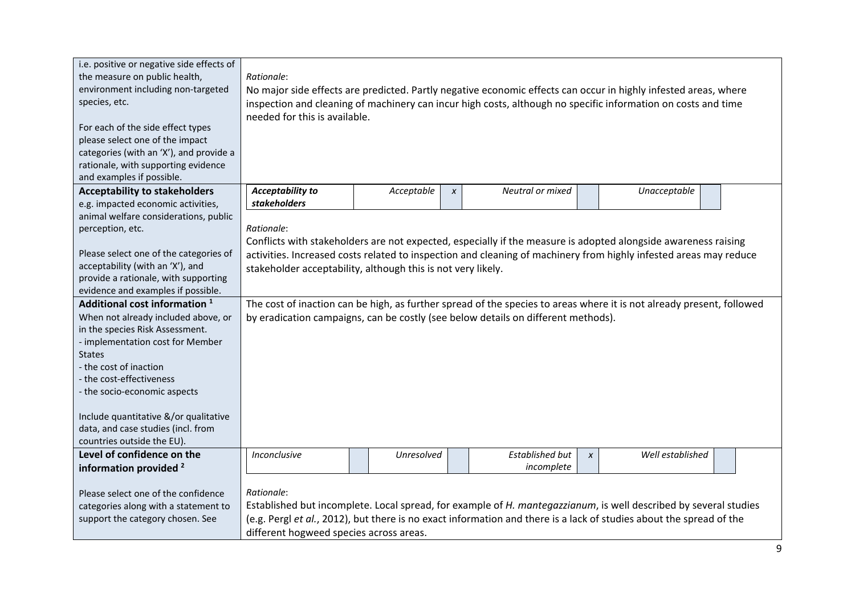| i.e. positive or negative side effects of<br>the measure on public health,<br>environment including non-targeted<br>species, etc.<br>For each of the side effect types<br>please select one of the impact<br>categories (with an 'X'), and provide a<br>rationale, with supporting evidence<br>and examples if possible.                                                                                                                                                                                                                                                                                                                  | Rationale:<br>needed for this is available.                                |            |              |                                                                                   |              | No major side effects are predicted. Partly negative economic effects can occur in highly infested areas, where<br>inspection and cleaning of machinery can incur high costs, although no specific information on costs and time                                                                                                                             |
|-------------------------------------------------------------------------------------------------------------------------------------------------------------------------------------------------------------------------------------------------------------------------------------------------------------------------------------------------------------------------------------------------------------------------------------------------------------------------------------------------------------------------------------------------------------------------------------------------------------------------------------------|----------------------------------------------------------------------------|------------|--------------|-----------------------------------------------------------------------------------|--------------|--------------------------------------------------------------------------------------------------------------------------------------------------------------------------------------------------------------------------------------------------------------------------------------------------------------------------------------------------------------|
| <b>Acceptability to stakeholders</b>                                                                                                                                                                                                                                                                                                                                                                                                                                                                                                                                                                                                      | <b>Acceptability to</b><br>stakeholders                                    | Acceptable | $\pmb{\chi}$ | Neutral or mixed                                                                  |              | Unacceptable                                                                                                                                                                                                                                                                                                                                                 |
| e.g. impacted economic activities,<br>animal welfare considerations, public<br>perception, etc.<br>Please select one of the categories of<br>acceptability (with an 'X'), and<br>provide a rationale, with supporting<br>evidence and examples if possible.<br>Additional cost information <sup>1</sup><br>When not already included above, or<br>in the species Risk Assessment.<br>- implementation cost for Member<br><b>States</b><br>- the cost of inaction<br>- the cost-effectiveness<br>- the socio-economic aspects<br>Include quantitative &/or qualitative<br>data, and case studies (incl. from<br>countries outside the EU). | Rationale:<br>stakeholder acceptability, although this is not very likely. |            |              | by eradication campaigns, can be costly (see below details on different methods). |              | Conflicts with stakeholders are not expected, especially if the measure is adopted alongside awareness raising<br>activities. Increased costs related to inspection and cleaning of machinery from highly infested areas may reduce<br>The cost of inaction can be high, as further spread of the species to areas where it is not already present, followed |
| Level of confidence on the                                                                                                                                                                                                                                                                                                                                                                                                                                                                                                                                                                                                                | Inconclusive                                                               | Unresolved |              | <b>Established but</b>                                                            | $\pmb{\chi}$ | Well established                                                                                                                                                                                                                                                                                                                                             |
| information provided <sup>2</sup><br>Please select one of the confidence<br>categories along with a statement to<br>support the category chosen. See                                                                                                                                                                                                                                                                                                                                                                                                                                                                                      | Rationale:<br>different hogweed species across areas.                      |            |              | incomplete                                                                        |              | Established but incomplete. Local spread, for example of H. mantegazzianum, is well described by several studies<br>(e.g. Pergl et al., 2012), but there is no exact information and there is a lack of studies about the spread of the                                                                                                                      |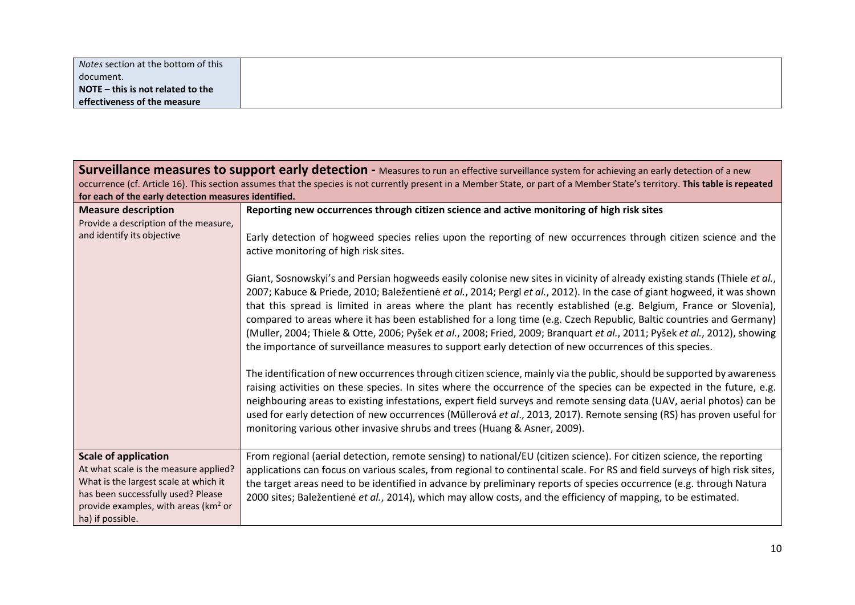| Notes section at the bottom of this |  |
|-------------------------------------|--|
| document.                           |  |
| NOTE $-$ this is not related to the |  |
| effectiveness of the measure        |  |

| for each of the early detection measures identified.                                                                                                                                                               | Surveillance measures to support early detection - Measures to run an effective surveillance system for achieving an early detection of a new<br>occurrence (cf. Article 16). This section assumes that the species is not currently present in a Member State, or part of a Member State's territory. This table is repeated                                                                                                                                                                                                                                                                                                                                                                                                           |  |  |  |  |  |  |  |
|--------------------------------------------------------------------------------------------------------------------------------------------------------------------------------------------------------------------|-----------------------------------------------------------------------------------------------------------------------------------------------------------------------------------------------------------------------------------------------------------------------------------------------------------------------------------------------------------------------------------------------------------------------------------------------------------------------------------------------------------------------------------------------------------------------------------------------------------------------------------------------------------------------------------------------------------------------------------------|--|--|--|--|--|--|--|
| <b>Measure description</b><br>Provide a description of the measure,                                                                                                                                                | Reporting new occurrences through citizen science and active monitoring of high risk sites                                                                                                                                                                                                                                                                                                                                                                                                                                                                                                                                                                                                                                              |  |  |  |  |  |  |  |
| and identify its objective                                                                                                                                                                                         | Early detection of hogweed species relies upon the reporting of new occurrences through citizen science and the<br>active monitoring of high risk sites.                                                                                                                                                                                                                                                                                                                                                                                                                                                                                                                                                                                |  |  |  |  |  |  |  |
|                                                                                                                                                                                                                    | Giant, Sosnowskyi's and Persian hogweeds easily colonise new sites in vicinity of already existing stands (Thiele et al.,<br>2007; Kabuce & Priede, 2010; Baležentienė et al., 2014; Pergl et al., 2012). In the case of giant hogweed, it was shown<br>that this spread is limited in areas where the plant has recently established (e.g. Belgium, France or Slovenia),<br>compared to areas where it has been established for a long time (e.g. Czech Republic, Baltic countries and Germany)<br>(Muller, 2004; Thiele & Otte, 2006; Pyšek et al., 2008; Fried, 2009; Branquart et al., 2011; Pyšek et al., 2012), showing<br>the importance of surveillance measures to support early detection of new occurrences of this species. |  |  |  |  |  |  |  |
|                                                                                                                                                                                                                    | The identification of new occurrences through citizen science, mainly via the public, should be supported by awareness<br>raising activities on these species. In sites where the occurrence of the species can be expected in the future, e.g.<br>neighbouring areas to existing infestations, expert field surveys and remote sensing data (UAV, aerial photos) can be<br>used for early detection of new occurrences (Müllerová et al., 2013, 2017). Remote sensing (RS) has proven useful for<br>monitoring various other invasive shrubs and trees (Huang & Asner, 2009).                                                                                                                                                          |  |  |  |  |  |  |  |
| <b>Scale of application</b><br>At what scale is the measure applied?<br>What is the largest scale at which it<br>has been successfully used? Please<br>provide examples, with areas ( $km2$ or<br>ha) if possible. | From regional (aerial detection, remote sensing) to national/EU (citizen science). For citizen science, the reporting<br>applications can focus on various scales, from regional to continental scale. For RS and field surveys of high risk sites,<br>the target areas need to be identified in advance by preliminary reports of species occurrence (e.g. through Natura<br>2000 sites; Baležentienė et al., 2014), which may allow costs, and the efficiency of mapping, to be estimated.                                                                                                                                                                                                                                            |  |  |  |  |  |  |  |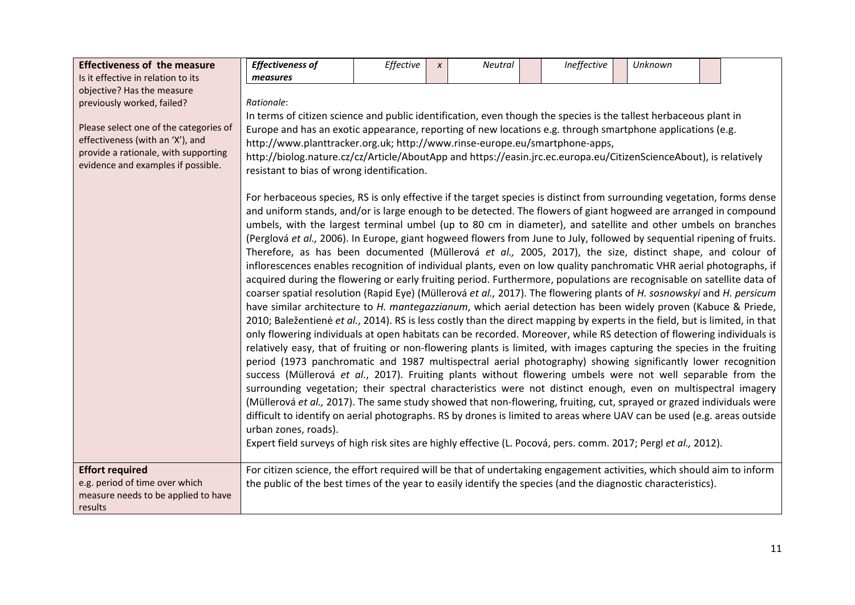| <b>Effectiveness of the measure</b>                                                                                                                      | <b>Effectiveness of</b>                                                                                                                                                                                                                 | Effective                                                                                                                                                                                                                                                                                                                                                                                                                                                                                                                                                                                                                                                                                                                                                                                                                                                                                                                                                                                                                                                                                                                                                                                                                                                                                                                                                                                                                                                                                                                                                                                                                                                                                                                                                                                                                                                                                                                                                                                                                                                                                                                                                                                                       | $\boldsymbol{x}$ | <b>Neutral</b> |  | Ineffective | Unknown |  |  |  |  |  |
|----------------------------------------------------------------------------------------------------------------------------------------------------------|-----------------------------------------------------------------------------------------------------------------------------------------------------------------------------------------------------------------------------------------|-----------------------------------------------------------------------------------------------------------------------------------------------------------------------------------------------------------------------------------------------------------------------------------------------------------------------------------------------------------------------------------------------------------------------------------------------------------------------------------------------------------------------------------------------------------------------------------------------------------------------------------------------------------------------------------------------------------------------------------------------------------------------------------------------------------------------------------------------------------------------------------------------------------------------------------------------------------------------------------------------------------------------------------------------------------------------------------------------------------------------------------------------------------------------------------------------------------------------------------------------------------------------------------------------------------------------------------------------------------------------------------------------------------------------------------------------------------------------------------------------------------------------------------------------------------------------------------------------------------------------------------------------------------------------------------------------------------------------------------------------------------------------------------------------------------------------------------------------------------------------------------------------------------------------------------------------------------------------------------------------------------------------------------------------------------------------------------------------------------------------------------------------------------------------------------------------------------------|------------------|----------------|--|-------------|---------|--|--|--|--|--|
| Is it effective in relation to its                                                                                                                       | measures                                                                                                                                                                                                                                |                                                                                                                                                                                                                                                                                                                                                                                                                                                                                                                                                                                                                                                                                                                                                                                                                                                                                                                                                                                                                                                                                                                                                                                                                                                                                                                                                                                                                                                                                                                                                                                                                                                                                                                                                                                                                                                                                                                                                                                                                                                                                                                                                                                                                 |                  |                |  |             |         |  |  |  |  |  |
| objective? Has the measure                                                                                                                               |                                                                                                                                                                                                                                         |                                                                                                                                                                                                                                                                                                                                                                                                                                                                                                                                                                                                                                                                                                                                                                                                                                                                                                                                                                                                                                                                                                                                                                                                                                                                                                                                                                                                                                                                                                                                                                                                                                                                                                                                                                                                                                                                                                                                                                                                                                                                                                                                                                                                                 |                  |                |  |             |         |  |  |  |  |  |
| previously worked, failed?                                                                                                                               | Rationale:                                                                                                                                                                                                                              |                                                                                                                                                                                                                                                                                                                                                                                                                                                                                                                                                                                                                                                                                                                                                                                                                                                                                                                                                                                                                                                                                                                                                                                                                                                                                                                                                                                                                                                                                                                                                                                                                                                                                                                                                                                                                                                                                                                                                                                                                                                                                                                                                                                                                 |                  |                |  |             |         |  |  |  |  |  |
|                                                                                                                                                          |                                                                                                                                                                                                                                         | In terms of citizen science and public identification, even though the species is the tallest herbaceous plant in                                                                                                                                                                                                                                                                                                                                                                                                                                                                                                                                                                                                                                                                                                                                                                                                                                                                                                                                                                                                                                                                                                                                                                                                                                                                                                                                                                                                                                                                                                                                                                                                                                                                                                                                                                                                                                                                                                                                                                                                                                                                                               |                  |                |  |             |         |  |  |  |  |  |
| Please select one of the categories of<br>effectiveness (with an 'X'), and<br>provide a rationale, with supporting<br>evidence and examples if possible. |                                                                                                                                                                                                                                         | Europe and has an exotic appearance, reporting of new locations e.g. through smartphone applications (e.g.<br>http://www.planttracker.org.uk; http://www.rinse-europe.eu/smartphone-apps,<br>http://biolog.nature.cz/cz/Article/AboutApp and https://easin.jrc.ec.europa.eu/CitizenScienceAbout), is relatively<br>resistant to bias of wrong identification.                                                                                                                                                                                                                                                                                                                                                                                                                                                                                                                                                                                                                                                                                                                                                                                                                                                                                                                                                                                                                                                                                                                                                                                                                                                                                                                                                                                                                                                                                                                                                                                                                                                                                                                                                                                                                                                   |                  |                |  |             |         |  |  |  |  |  |
|                                                                                                                                                          | urban zones, roads).                                                                                                                                                                                                                    | For herbaceous species, RS is only effective if the target species is distinct from surrounding vegetation, forms dense<br>and uniform stands, and/or is large enough to be detected. The flowers of giant hogweed are arranged in compound<br>umbels, with the largest terminal umbel (up to 80 cm in diameter), and satellite and other umbels on branches<br>(Perglová et al., 2006). In Europe, giant hogweed flowers from June to July, followed by sequential ripening of fruits.<br>Therefore, as has been documented (Müllerová et al., 2005, 2017), the size, distinct shape, and colour of<br>inflorescences enables recognition of individual plants, even on low quality panchromatic VHR aerial photographs, if<br>acquired during the flowering or early fruiting period. Furthermore, populations are recognisable on satellite data of<br>coarser spatial resolution (Rapid Eye) (Müllerová et al., 2017). The flowering plants of H. sosnowskyi and H. persicum<br>have similar architecture to H. mantegazzianum, which aerial detection has been widely proven (Kabuce & Priede,<br>2010; Baležentienė et al., 2014). RS is less costly than the direct mapping by experts in the field, but is limited, in that<br>only flowering individuals at open habitats can be recorded. Moreover, while RS detection of flowering individuals is<br>relatively easy, that of fruiting or non-flowering plants is limited, with images capturing the species in the fruiting<br>period (1973 panchromatic and 1987 multispectral aerial photography) showing significantly lower recognition<br>success (Müllerová et al., 2017). Fruiting plants without flowering umbels were not well separable from the<br>surrounding vegetation; their spectral characteristics were not distinct enough, even on multispectral imagery<br>(Müllerová et al., 2017). The same study showed that non-flowering, fruiting, cut, sprayed or grazed individuals were<br>difficult to identify on aerial photographs. RS by drones is limited to areas where UAV can be used (e.g. areas outside<br>Expert field surveys of high risk sites are highly effective (L. Pocová, pers. comm. 2017; Pergl et al., 2012). |                  |                |  |             |         |  |  |  |  |  |
| <b>Effort required</b><br>e.g. period of time over which<br>measure needs to be applied to have<br>results                                               | For citizen science, the effort required will be that of undertaking engagement activities, which should aim to inform<br>the public of the best times of the year to easily identify the species (and the diagnostic characteristics). |                                                                                                                                                                                                                                                                                                                                                                                                                                                                                                                                                                                                                                                                                                                                                                                                                                                                                                                                                                                                                                                                                                                                                                                                                                                                                                                                                                                                                                                                                                                                                                                                                                                                                                                                                                                                                                                                                                                                                                                                                                                                                                                                                                                                                 |                  |                |  |             |         |  |  |  |  |  |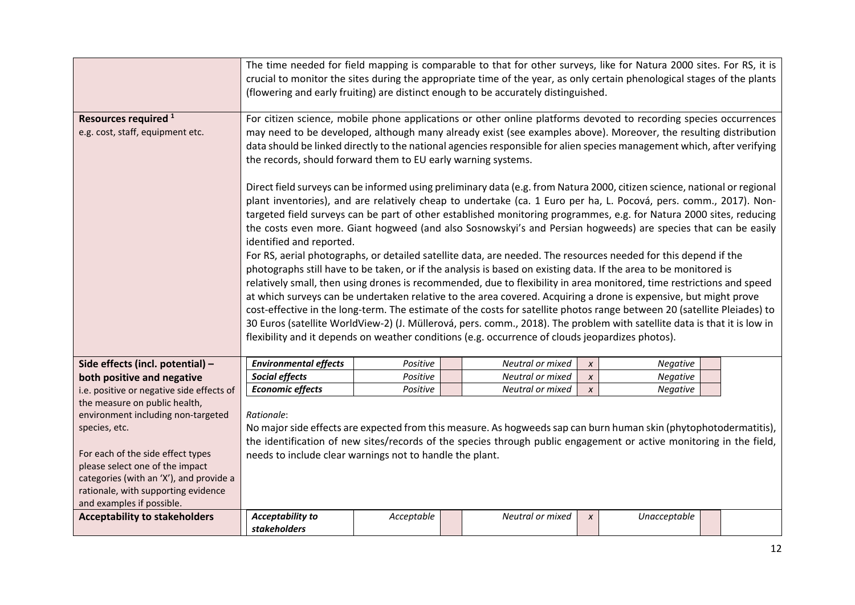| <b>Acceptability to stakeholders</b>                                                                                                                                                                                                                                        | <b>Acceptability to</b><br>stakeholders                                                                                                                                                                                                                                                                                                                                                                                                                                                                                                                                                                                                                                                                                                                                                                                                                                                                                                                                                                                                                                                                                                                                                                                                                                                                                                                                                                                                                                                                                                                                                                                                                                             | Acceptable                                                                                                                                                                                                                                                                                                                            |  | Neutral or mixed | $\boldsymbol{x}$ | Unacceptable |  |  |  |  |  |  |
|-----------------------------------------------------------------------------------------------------------------------------------------------------------------------------------------------------------------------------------------------------------------------------|-------------------------------------------------------------------------------------------------------------------------------------------------------------------------------------------------------------------------------------------------------------------------------------------------------------------------------------------------------------------------------------------------------------------------------------------------------------------------------------------------------------------------------------------------------------------------------------------------------------------------------------------------------------------------------------------------------------------------------------------------------------------------------------------------------------------------------------------------------------------------------------------------------------------------------------------------------------------------------------------------------------------------------------------------------------------------------------------------------------------------------------------------------------------------------------------------------------------------------------------------------------------------------------------------------------------------------------------------------------------------------------------------------------------------------------------------------------------------------------------------------------------------------------------------------------------------------------------------------------------------------------------------------------------------------------|---------------------------------------------------------------------------------------------------------------------------------------------------------------------------------------------------------------------------------------------------------------------------------------------------------------------------------------|--|------------------|------------------|--------------|--|--|--|--|--|--|
| the measure on public health,<br>environment including non-targeted<br>species, etc.<br>For each of the side effect types<br>please select one of the impact<br>categories (with an 'X'), and provide a<br>rationale, with supporting evidence<br>and examples if possible. | Rationale:<br>No major side effects are expected from this measure. As hogweeds sap can burn human skin (phytophotodermatitis),<br>the identification of new sites/records of the species through public engagement or active monitoring in the field,<br>needs to include clear warnings not to handle the plant.                                                                                                                                                                                                                                                                                                                                                                                                                                                                                                                                                                                                                                                                                                                                                                                                                                                                                                                                                                                                                                                                                                                                                                                                                                                                                                                                                                  |                                                                                                                                                                                                                                                                                                                                       |  |                  |                  |              |  |  |  |  |  |  |
| i.e. positive or negative side effects of                                                                                                                                                                                                                                   | <b>Economic effects</b>                                                                                                                                                                                                                                                                                                                                                                                                                                                                                                                                                                                                                                                                                                                                                                                                                                                                                                                                                                                                                                                                                                                                                                                                                                                                                                                                                                                                                                                                                                                                                                                                                                                             | Positive                                                                                                                                                                                                                                                                                                                              |  | Neutral or mixed | $\pmb{\chi}$     | Negative     |  |  |  |  |  |  |
| both positive and negative                                                                                                                                                                                                                                                  | Social effects                                                                                                                                                                                                                                                                                                                                                                                                                                                                                                                                                                                                                                                                                                                                                                                                                                                                                                                                                                                                                                                                                                                                                                                                                                                                                                                                                                                                                                                                                                                                                                                                                                                                      | Positive                                                                                                                                                                                                                                                                                                                              |  | Neutral or mixed | $\boldsymbol{x}$ | Negative     |  |  |  |  |  |  |
| Side effects (incl. potential) -                                                                                                                                                                                                                                            | <b>Environmental effects</b>                                                                                                                                                                                                                                                                                                                                                                                                                                                                                                                                                                                                                                                                                                                                                                                                                                                                                                                                                                                                                                                                                                                                                                                                                                                                                                                                                                                                                                                                                                                                                                                                                                                        | Positive                                                                                                                                                                                                                                                                                                                              |  | Neutral or mixed | $\pmb{\chi}$     | Negative     |  |  |  |  |  |  |
| e.g. cost, staff, equipment etc.                                                                                                                                                                                                                                            | may need to be developed, although many already exist (see examples above). Moreover, the resulting distribution<br>data should be linked directly to the national agencies responsible for alien species management which, after verifying<br>the records, should forward them to EU early warning systems.<br>Direct field surveys can be informed using preliminary data (e.g. from Natura 2000, citizen science, national or regional<br>plant inventories), and are relatively cheap to undertake (ca. 1 Euro per ha, L. Pocová, pers. comm., 2017). Non-<br>targeted field surveys can be part of other established monitoring programmes, e.g. for Natura 2000 sites, reducing<br>the costs even more. Giant hogweed (and also Sosnowskyi's and Persian hogweeds) are species that can be easily<br>identified and reported.<br>For RS, aerial photographs, or detailed satellite data, are needed. The resources needed for this depend if the<br>photographs still have to be taken, or if the analysis is based on existing data. If the area to be monitored is<br>relatively small, then using drones is recommended, due to flexibility in area monitored, time restrictions and speed<br>at which surveys can be undertaken relative to the area covered. Acquiring a drone is expensive, but might prove<br>cost-effective in the long-term. The estimate of the costs for satellite photos range between 20 (satellite Pleiades) to<br>30 Euros (satellite WorldView-2) (J. Müllerová, pers. comm., 2018). The problem with satellite data is that it is low in<br>flexibility and it depends on weather conditions (e.g. occurrence of clouds jeopardizes photos). |                                                                                                                                                                                                                                                                                                                                       |  |                  |                  |              |  |  |  |  |  |  |
| Resources required <sup>1</sup>                                                                                                                                                                                                                                             |                                                                                                                                                                                                                                                                                                                                                                                                                                                                                                                                                                                                                                                                                                                                                                                                                                                                                                                                                                                                                                                                                                                                                                                                                                                                                                                                                                                                                                                                                                                                                                                                                                                                                     | For citizen science, mobile phone applications or other online platforms devoted to recording species occurrences                                                                                                                                                                                                                     |  |                  |                  |              |  |  |  |  |  |  |
|                                                                                                                                                                                                                                                                             |                                                                                                                                                                                                                                                                                                                                                                                                                                                                                                                                                                                                                                                                                                                                                                                                                                                                                                                                                                                                                                                                                                                                                                                                                                                                                                                                                                                                                                                                                                                                                                                                                                                                                     | The time needed for field mapping is comparable to that for other surveys, like for Natura 2000 sites. For RS, it is<br>crucial to monitor the sites during the appropriate time of the year, as only certain phenological stages of the plants<br>(flowering and early fruiting) are distinct enough to be accurately distinguished. |  |                  |                  |              |  |  |  |  |  |  |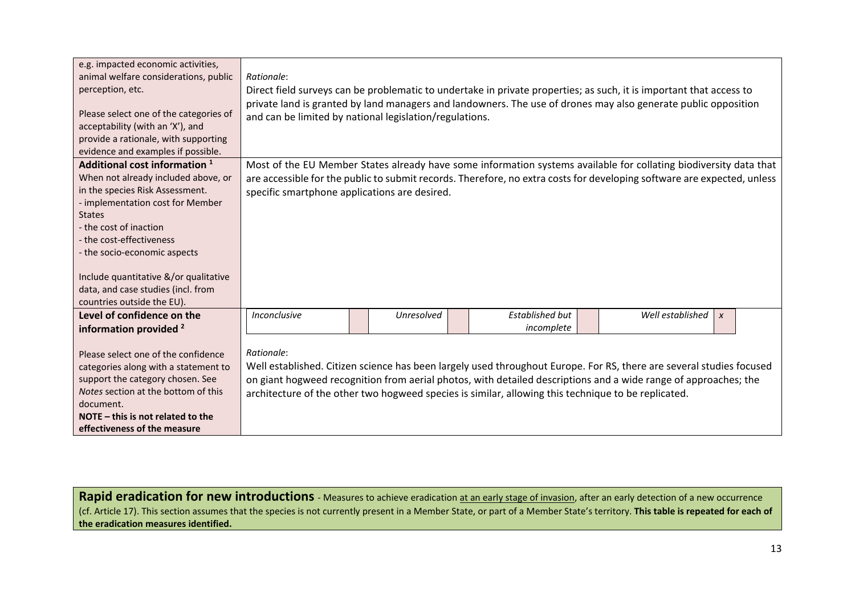| e.g. impacted economic activities,<br>animal welfare considerations, public<br>perception, etc.<br>Please select one of the categories of<br>acceptability (with an 'X'), and<br>provide a rationale, with supporting<br>evidence and examples if possible.                                                                    | Rationale:<br>Direct field surveys can be problematic to undertake in private properties; as such, it is important that access to<br>private land is granted by land managers and landowners. The use of drones may also generate public opposition<br>and can be limited by national legislation/regulations. |            |                                                                                                                   |  |                                                                                                                                                                                                                                         |  |  |  |  |  |
|--------------------------------------------------------------------------------------------------------------------------------------------------------------------------------------------------------------------------------------------------------------------------------------------------------------------------------|----------------------------------------------------------------------------------------------------------------------------------------------------------------------------------------------------------------------------------------------------------------------------------------------------------------|------------|-------------------------------------------------------------------------------------------------------------------|--|-----------------------------------------------------------------------------------------------------------------------------------------------------------------------------------------------------------------------------------------|--|--|--|--|--|
| Additional cost information 1                                                                                                                                                                                                                                                                                                  |                                                                                                                                                                                                                                                                                                                |            |                                                                                                                   |  | Most of the EU Member States already have some information systems available for collating biodiversity data that                                                                                                                       |  |  |  |  |  |
| When not already included above, or<br>in the species Risk Assessment.<br>- implementation cost for Member<br><b>States</b><br>- the cost of inaction<br>- the cost-effectiveness<br>- the socio-economic aspects<br>Include quantitative &/or qualitative<br>data, and case studies (incl. from<br>countries outside the EU). | specific smartphone applications are desired.                                                                                                                                                                                                                                                                  |            |                                                                                                                   |  | are accessible for the public to submit records. Therefore, no extra costs for developing software are expected, unless                                                                                                                 |  |  |  |  |  |
| Level of confidence on the                                                                                                                                                                                                                                                                                                     | Inconclusive                                                                                                                                                                                                                                                                                                   | Unresolved | Established but                                                                                                   |  | Well established<br>$\pmb{\chi}$                                                                                                                                                                                                        |  |  |  |  |  |
| information provided <sup>2</sup><br>Please select one of the confidence<br>categories along with a statement to<br>support the category chosen. See<br>Notes section at the bottom of this<br>document.<br>NOTE $-$ this is not related to the<br>effectiveness of the measure                                                | Rationale:                                                                                                                                                                                                                                                                                                     |            | incomplete<br>architecture of the other two hogweed species is similar, allowing this technique to be replicated. |  | Well established. Citizen science has been largely used throughout Europe. For RS, there are several studies focused<br>on giant hogweed recognition from aerial photos, with detailed descriptions and a wide range of approaches; the |  |  |  |  |  |

**Rapid eradication for new introductions** - Measures to achieve eradication at an early stage of invasion, after an early detection of a new occurrence (cf. Article 17). This section assumes that the species is not currently present in a Member State, or part of a Member State's territory. **This table is repeated for each of the eradication measures identified.**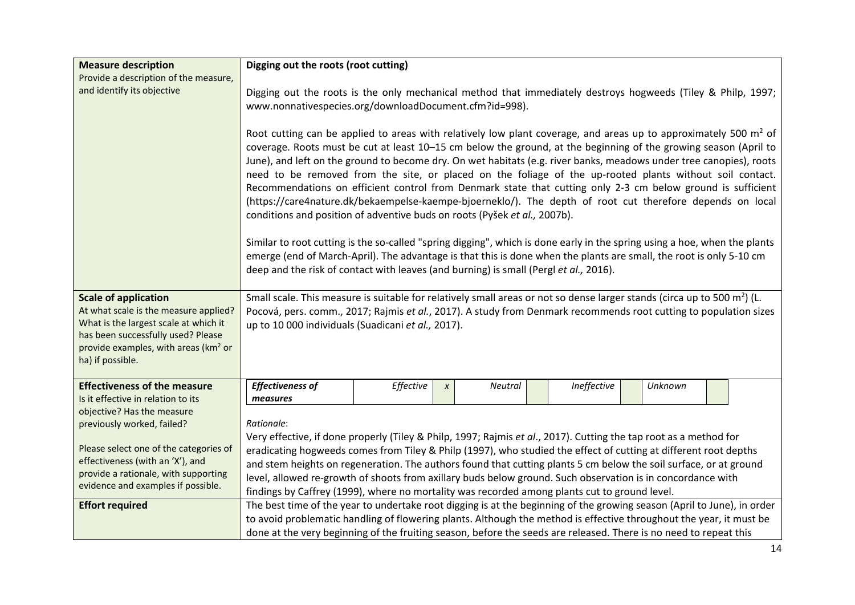| <b>Measure description</b>                                                             |                                                                                                                                                                                                                                                                                                                                                                                                                                                                                                                                                                                                                                                                                                                                                                                                                                                                                                                                                                                                                                                                                                                                                                                                                                                                 | Digging out the roots (root cutting) |              |         |  |             |  |         |  |  |  |
|----------------------------------------------------------------------------------------|-----------------------------------------------------------------------------------------------------------------------------------------------------------------------------------------------------------------------------------------------------------------------------------------------------------------------------------------------------------------------------------------------------------------------------------------------------------------------------------------------------------------------------------------------------------------------------------------------------------------------------------------------------------------------------------------------------------------------------------------------------------------------------------------------------------------------------------------------------------------------------------------------------------------------------------------------------------------------------------------------------------------------------------------------------------------------------------------------------------------------------------------------------------------------------------------------------------------------------------------------------------------|--------------------------------------|--------------|---------|--|-------------|--|---------|--|--|--|
| Provide a description of the measure,                                                  |                                                                                                                                                                                                                                                                                                                                                                                                                                                                                                                                                                                                                                                                                                                                                                                                                                                                                                                                                                                                                                                                                                                                                                                                                                                                 |                                      |              |         |  |             |  |         |  |  |  |
| and identify its objective                                                             | Digging out the roots is the only mechanical method that immediately destroys hogweeds (Tiley & Philp, 1997;                                                                                                                                                                                                                                                                                                                                                                                                                                                                                                                                                                                                                                                                                                                                                                                                                                                                                                                                                                                                                                                                                                                                                    |                                      |              |         |  |             |  |         |  |  |  |
|                                                                                        | www.nonnativespecies.org/downloadDocument.cfm?id=998).                                                                                                                                                                                                                                                                                                                                                                                                                                                                                                                                                                                                                                                                                                                                                                                                                                                                                                                                                                                                                                                                                                                                                                                                          |                                      |              |         |  |             |  |         |  |  |  |
|                                                                                        | Root cutting can be applied to areas with relatively low plant coverage, and areas up to approximately 500 $m^2$ of<br>coverage. Roots must be cut at least 10-15 cm below the ground, at the beginning of the growing season (April to<br>June), and left on the ground to become dry. On wet habitats (e.g. river banks, meadows under tree canopies), roots<br>need to be removed from the site, or placed on the foliage of the up-rooted plants without soil contact.<br>Recommendations on efficient control from Denmark state that cutting only 2-3 cm below ground is sufficient<br>(https://care4nature.dk/bekaempelse-kaempe-bjoerneklo/). The depth of root cut therefore depends on local<br>conditions and position of adventive buds on roots (Pyšek et al., 2007b).<br>Similar to root cutting is the so-called "spring digging", which is done early in the spring using a hoe, when the plants<br>emerge (end of March-April). The advantage is that this is done when the plants are small, the root is only 5-10 cm<br>deep and the risk of contact with leaves (and burning) is small (Pergl et al., 2016).<br>Small scale. This measure is suitable for relatively small areas or not so dense larger stands (circa up to 500 $m^2$ ) (L. |                                      |              |         |  |             |  |         |  |  |  |
| <b>Scale of application</b>                                                            |                                                                                                                                                                                                                                                                                                                                                                                                                                                                                                                                                                                                                                                                                                                                                                                                                                                                                                                                                                                                                                                                                                                                                                                                                                                                 |                                      |              |         |  |             |  |         |  |  |  |
| At what scale is the measure applied?                                                  | Pocová, pers. comm., 2017; Rajmis et al., 2017). A study from Denmark recommends root cutting to population sizes                                                                                                                                                                                                                                                                                                                                                                                                                                                                                                                                                                                                                                                                                                                                                                                                                                                                                                                                                                                                                                                                                                                                               |                                      |              |         |  |             |  |         |  |  |  |
| What is the largest scale at which it                                                  | up to 10 000 individuals (Suadicani et al., 2017).                                                                                                                                                                                                                                                                                                                                                                                                                                                                                                                                                                                                                                                                                                                                                                                                                                                                                                                                                                                                                                                                                                                                                                                                              |                                      |              |         |  |             |  |         |  |  |  |
| has been successfully used? Please<br>provide examples, with areas (km <sup>2</sup> or |                                                                                                                                                                                                                                                                                                                                                                                                                                                                                                                                                                                                                                                                                                                                                                                                                                                                                                                                                                                                                                                                                                                                                                                                                                                                 |                                      |              |         |  |             |  |         |  |  |  |
| ha) if possible.                                                                       |                                                                                                                                                                                                                                                                                                                                                                                                                                                                                                                                                                                                                                                                                                                                                                                                                                                                                                                                                                                                                                                                                                                                                                                                                                                                 |                                      |              |         |  |             |  |         |  |  |  |
|                                                                                        |                                                                                                                                                                                                                                                                                                                                                                                                                                                                                                                                                                                                                                                                                                                                                                                                                                                                                                                                                                                                                                                                                                                                                                                                                                                                 |                                      |              |         |  |             |  |         |  |  |  |
| <b>Effectiveness of the measure</b>                                                    | <b>Effectiveness of</b>                                                                                                                                                                                                                                                                                                                                                                                                                                                                                                                                                                                                                                                                                                                                                                                                                                                                                                                                                                                                                                                                                                                                                                                                                                         | Effective                            | $\pmb{\chi}$ | Neutral |  | Ineffective |  | Unknown |  |  |  |
| Is it effective in relation to its                                                     | measures                                                                                                                                                                                                                                                                                                                                                                                                                                                                                                                                                                                                                                                                                                                                                                                                                                                                                                                                                                                                                                                                                                                                                                                                                                                        |                                      |              |         |  |             |  |         |  |  |  |
| objective? Has the measure<br>previously worked, failed?                               | Rationale:                                                                                                                                                                                                                                                                                                                                                                                                                                                                                                                                                                                                                                                                                                                                                                                                                                                                                                                                                                                                                                                                                                                                                                                                                                                      |                                      |              |         |  |             |  |         |  |  |  |
|                                                                                        | Very effective, if done properly (Tiley & Philp, 1997; Rajmis et al., 2017). Cutting the tap root as a method for                                                                                                                                                                                                                                                                                                                                                                                                                                                                                                                                                                                                                                                                                                                                                                                                                                                                                                                                                                                                                                                                                                                                               |                                      |              |         |  |             |  |         |  |  |  |
| Please select one of the categories of                                                 | eradicating hogweeds comes from Tiley & Philp (1997), who studied the effect of cutting at different root depths                                                                                                                                                                                                                                                                                                                                                                                                                                                                                                                                                                                                                                                                                                                                                                                                                                                                                                                                                                                                                                                                                                                                                |                                      |              |         |  |             |  |         |  |  |  |
| effectiveness (with an 'X'), and                                                       | and stem heights on regeneration. The authors found that cutting plants 5 cm below the soil surface, or at ground                                                                                                                                                                                                                                                                                                                                                                                                                                                                                                                                                                                                                                                                                                                                                                                                                                                                                                                                                                                                                                                                                                                                               |                                      |              |         |  |             |  |         |  |  |  |
| provide a rationale, with supporting                                                   | level, allowed re-growth of shoots from axillary buds below ground. Such observation is in concordance with                                                                                                                                                                                                                                                                                                                                                                                                                                                                                                                                                                                                                                                                                                                                                                                                                                                                                                                                                                                                                                                                                                                                                     |                                      |              |         |  |             |  |         |  |  |  |
| evidence and examples if possible.                                                     | findings by Caffrey (1999), where no mortality was recorded among plants cut to ground level.                                                                                                                                                                                                                                                                                                                                                                                                                                                                                                                                                                                                                                                                                                                                                                                                                                                                                                                                                                                                                                                                                                                                                                   |                                      |              |         |  |             |  |         |  |  |  |
| <b>Effort required</b>                                                                 | The best time of the year to undertake root digging is at the beginning of the growing season (April to June), in order                                                                                                                                                                                                                                                                                                                                                                                                                                                                                                                                                                                                                                                                                                                                                                                                                                                                                                                                                                                                                                                                                                                                         |                                      |              |         |  |             |  |         |  |  |  |
|                                                                                        | to avoid problematic handling of flowering plants. Although the method is effective throughout the year, it must be                                                                                                                                                                                                                                                                                                                                                                                                                                                                                                                                                                                                                                                                                                                                                                                                                                                                                                                                                                                                                                                                                                                                             |                                      |              |         |  |             |  |         |  |  |  |
|                                                                                        | done at the very beginning of the fruiting season, before the seeds are released. There is no need to repeat this                                                                                                                                                                                                                                                                                                                                                                                                                                                                                                                                                                                                                                                                                                                                                                                                                                                                                                                                                                                                                                                                                                                                               |                                      |              |         |  |             |  |         |  |  |  |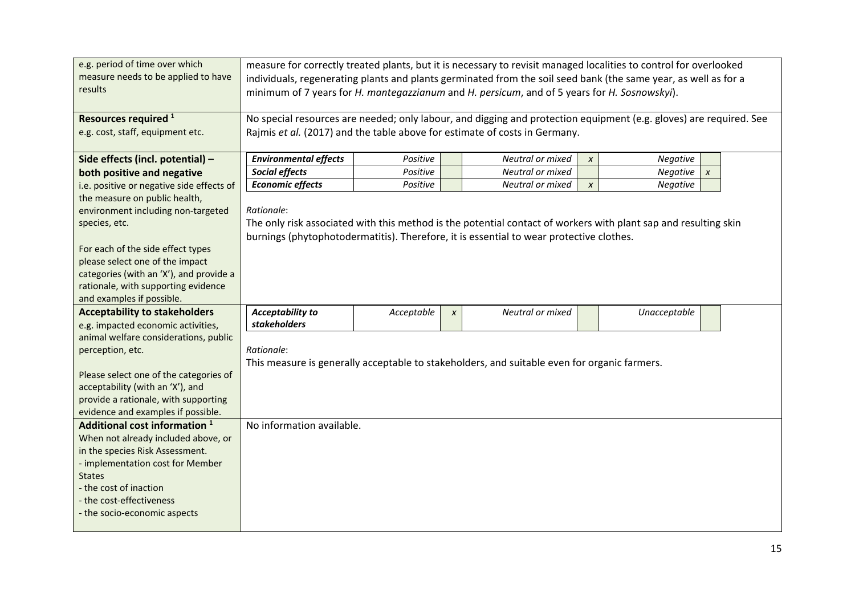| e.g. period of time over which<br>measure needs to be applied to have<br>results | measure for correctly treated plants, but it is necessary to revisit managed localities to control for overlooked<br>individuals, regenerating plants and plants germinated from the soil seed bank (the same year, as well as for a<br>minimum of 7 years for H. mantegazzianum and H. persicum, and of 5 years for H. Sosnowskyi). |            |           |                                                                                              |                  |                                                                                                                 |  |  |  |  |
|----------------------------------------------------------------------------------|--------------------------------------------------------------------------------------------------------------------------------------------------------------------------------------------------------------------------------------------------------------------------------------------------------------------------------------|------------|-----------|----------------------------------------------------------------------------------------------|------------------|-----------------------------------------------------------------------------------------------------------------|--|--|--|--|
| Resources required <sup>1</sup>                                                  | No special resources are needed; only labour, and digging and protection equipment (e.g. gloves) are required. See                                                                                                                                                                                                                   |            |           |                                                                                              |                  |                                                                                                                 |  |  |  |  |
| e.g. cost, staff, equipment etc.                                                 | Rajmis et al. (2017) and the table above for estimate of costs in Germany.                                                                                                                                                                                                                                                           |            |           |                                                                                              |                  |                                                                                                                 |  |  |  |  |
| Side effects (incl. potential) -                                                 | <b>Environmental effects</b>                                                                                                                                                                                                                                                                                                         | Positive   |           | Neutral or mixed                                                                             | $\pmb{\chi}$     | Negative                                                                                                        |  |  |  |  |
| both positive and negative                                                       | Social effects                                                                                                                                                                                                                                                                                                                       | Positive   |           | Neutral or mixed                                                                             |                  | Negative<br>$\pmb{\chi}$                                                                                        |  |  |  |  |
| i.e. positive or negative side effects of                                        | <b>Economic effects</b>                                                                                                                                                                                                                                                                                                              | Positive   |           | Neutral or mixed                                                                             | $\boldsymbol{x}$ | <b>Negative</b>                                                                                                 |  |  |  |  |
| the measure on public health,                                                    |                                                                                                                                                                                                                                                                                                                                      |            |           |                                                                                              |                  |                                                                                                                 |  |  |  |  |
| environment including non-targeted                                               | Rationale:                                                                                                                                                                                                                                                                                                                           |            |           |                                                                                              |                  |                                                                                                                 |  |  |  |  |
| species, etc.                                                                    |                                                                                                                                                                                                                                                                                                                                      |            |           |                                                                                              |                  | The only risk associated with this method is the potential contact of workers with plant sap and resulting skin |  |  |  |  |
|                                                                                  |                                                                                                                                                                                                                                                                                                                                      |            |           | burnings (phytophotodermatitis). Therefore, it is essential to wear protective clothes.      |                  |                                                                                                                 |  |  |  |  |
| For each of the side effect types                                                |                                                                                                                                                                                                                                                                                                                                      |            |           |                                                                                              |                  |                                                                                                                 |  |  |  |  |
| please select one of the impact<br>categories (with an 'X'), and provide a       |                                                                                                                                                                                                                                                                                                                                      |            |           |                                                                                              |                  |                                                                                                                 |  |  |  |  |
| rationale, with supporting evidence                                              |                                                                                                                                                                                                                                                                                                                                      |            |           |                                                                                              |                  |                                                                                                                 |  |  |  |  |
| and examples if possible.                                                        |                                                                                                                                                                                                                                                                                                                                      |            |           |                                                                                              |                  |                                                                                                                 |  |  |  |  |
| <b>Acceptability to stakeholders</b>                                             | <b>Acceptability to</b>                                                                                                                                                                                                                                                                                                              | Acceptable | $\pmb{X}$ | Neutral or mixed                                                                             |                  | Unacceptable                                                                                                    |  |  |  |  |
| e.g. impacted economic activities,                                               | stakeholders                                                                                                                                                                                                                                                                                                                         |            |           |                                                                                              |                  |                                                                                                                 |  |  |  |  |
| animal welfare considerations, public                                            |                                                                                                                                                                                                                                                                                                                                      |            |           |                                                                                              |                  |                                                                                                                 |  |  |  |  |
| perception, etc.                                                                 | Rationale:                                                                                                                                                                                                                                                                                                                           |            |           |                                                                                              |                  |                                                                                                                 |  |  |  |  |
|                                                                                  |                                                                                                                                                                                                                                                                                                                                      |            |           | This measure is generally acceptable to stakeholders, and suitable even for organic farmers. |                  |                                                                                                                 |  |  |  |  |
| Please select one of the categories of                                           |                                                                                                                                                                                                                                                                                                                                      |            |           |                                                                                              |                  |                                                                                                                 |  |  |  |  |
| acceptability (with an 'X'), and                                                 |                                                                                                                                                                                                                                                                                                                                      |            |           |                                                                                              |                  |                                                                                                                 |  |  |  |  |
| provide a rationale, with supporting<br>evidence and examples if possible.       |                                                                                                                                                                                                                                                                                                                                      |            |           |                                                                                              |                  |                                                                                                                 |  |  |  |  |
| Additional cost information <sup>1</sup>                                         | No information available.                                                                                                                                                                                                                                                                                                            |            |           |                                                                                              |                  |                                                                                                                 |  |  |  |  |
| When not already included above, or                                              |                                                                                                                                                                                                                                                                                                                                      |            |           |                                                                                              |                  |                                                                                                                 |  |  |  |  |
| in the species Risk Assessment.                                                  |                                                                                                                                                                                                                                                                                                                                      |            |           |                                                                                              |                  |                                                                                                                 |  |  |  |  |
| - implementation cost for Member                                                 |                                                                                                                                                                                                                                                                                                                                      |            |           |                                                                                              |                  |                                                                                                                 |  |  |  |  |
| <b>States</b>                                                                    |                                                                                                                                                                                                                                                                                                                                      |            |           |                                                                                              |                  |                                                                                                                 |  |  |  |  |
| - the cost of inaction                                                           |                                                                                                                                                                                                                                                                                                                                      |            |           |                                                                                              |                  |                                                                                                                 |  |  |  |  |
| - the cost-effectiveness                                                         |                                                                                                                                                                                                                                                                                                                                      |            |           |                                                                                              |                  |                                                                                                                 |  |  |  |  |
| - the socio-economic aspects                                                     |                                                                                                                                                                                                                                                                                                                                      |            |           |                                                                                              |                  |                                                                                                                 |  |  |  |  |
|                                                                                  |                                                                                                                                                                                                                                                                                                                                      |            |           |                                                                                              |                  |                                                                                                                 |  |  |  |  |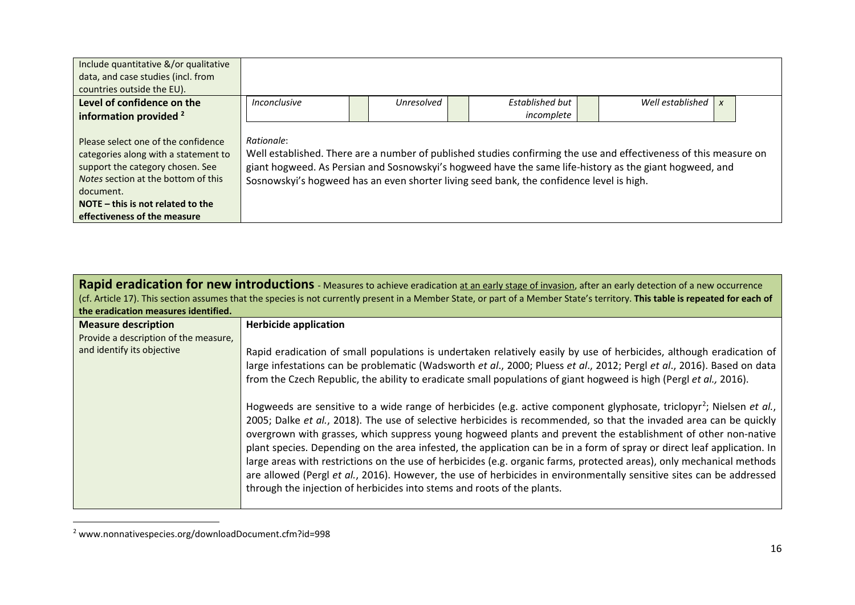<span id="page-15-0"></span>

| Include quantitative &/or qualitative<br>data, and case studies (incl. from<br>countries outside the EU).                                                                                                                                  |                                                                                                                                                                                                                                                                                                                                        |            |                        |            |                  |  |
|--------------------------------------------------------------------------------------------------------------------------------------------------------------------------------------------------------------------------------------------|----------------------------------------------------------------------------------------------------------------------------------------------------------------------------------------------------------------------------------------------------------------------------------------------------------------------------------------|------------|------------------------|------------|------------------|--|
| Level of confidence on the<br>information provided <sup>2</sup>                                                                                                                                                                            | Inconclusive                                                                                                                                                                                                                                                                                                                           | Unresolved | <b>Established but</b> | incomplete | Well established |  |
| Please select one of the confidence<br>categories along with a statement to<br>support the category chosen. See<br>Notes section at the bottom of this<br>document.<br>NOTE $-$ this is not related to the<br>effectiveness of the measure | Rationale:<br>Well established. There are a number of published studies confirming the use and effectiveness of this measure on<br>giant hogweed. As Persian and Sosnowskyi's hogweed have the same life-history as the giant hogweed, and<br>Sosnowskyi's hogweed has an even shorter living seed bank, the confidence level is high. |            |                        |            |                  |  |

| the eradication measures identified.                                                              | Rapid eradication for new introductions - Measures to achieve eradication at an early stage of invasion, after an early detection of a new occurrence<br>(cf. Article 17). This section assumes that the species is not currently present in a Member State, or part of a Member State's territory. This table is repeated for each of                                                                                                                                                                                                                                                                                                                                                                                                                                                                                                                                                                                                               |
|---------------------------------------------------------------------------------------------------|------------------------------------------------------------------------------------------------------------------------------------------------------------------------------------------------------------------------------------------------------------------------------------------------------------------------------------------------------------------------------------------------------------------------------------------------------------------------------------------------------------------------------------------------------------------------------------------------------------------------------------------------------------------------------------------------------------------------------------------------------------------------------------------------------------------------------------------------------------------------------------------------------------------------------------------------------|
| <b>Measure description</b><br>Provide a description of the measure,<br>and identify its objective | <b>Herbicide application</b><br>Rapid eradication of small populations is undertaken relatively easily by use of herbicides, although eradication of<br>large infestations can be problematic (Wadsworth et al., 2000; Pluess et al., 2012; Pergl et al., 2016). Based on data                                                                                                                                                                                                                                                                                                                                                                                                                                                                                                                                                                                                                                                                       |
|                                                                                                   | from the Czech Republic, the ability to eradicate small populations of giant hogweed is high (Pergl et al., 2016).<br>Hogweeds are sensitive to a wide range of herbicides (e.g. active component glyphosate, triclopyr <sup>2</sup> ; Nielsen et al.,<br>2005; Dalke et al., 2018). The use of selective herbicides is recommended, so that the invaded area can be quickly<br>overgrown with grasses, which suppress young hogweed plants and prevent the establishment of other non-native<br>plant species. Depending on the area infested, the application can be in a form of spray or direct leaf application. In<br>large areas with restrictions on the use of herbicides (e.g. organic farms, protected areas), only mechanical methods<br>are allowed (Pergl et al., 2016). However, the use of herbicides in environmentally sensitive sites can be addressed<br>through the injection of herbicides into stems and roots of the plants. |

 <sup>2</sup> www.nonnativespecies.org/downloadDocument.cfm?id=998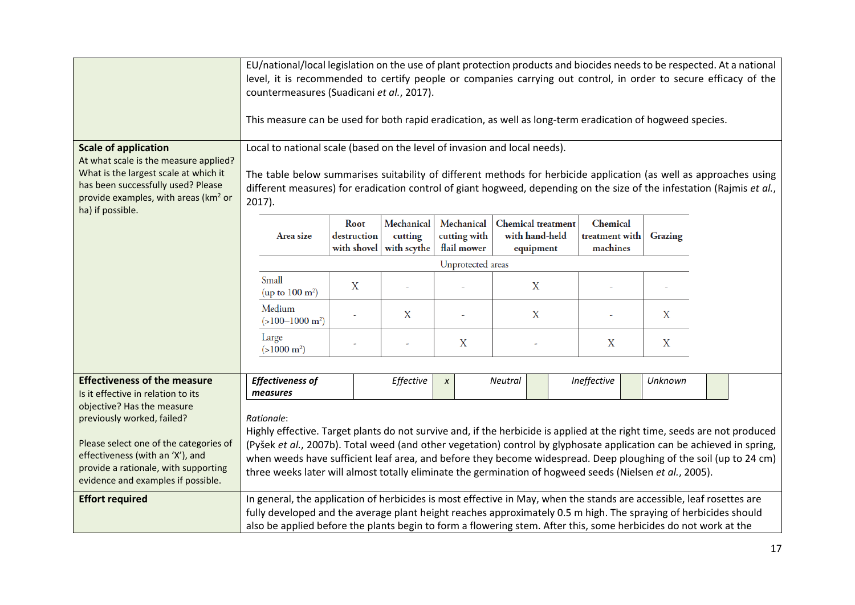| <b>Scale of application</b><br>At what scale is the measure applied?<br>What is the largest scale at which it<br>has been successfully used? Please<br>provide examples, with areas (km <sup>2</sup> or<br>ha) if possible. | countermeasures (Suadicani et al., 2017).<br>This measure can be used for both rapid eradication, as well as long-term eradication of hogweed species.<br>Local to national scale (based on the level of invasion and local needs).<br>2017).                                                                                                                 |   |           |                  |                           |             |                  | EU/national/local legislation on the use of plant protection products and biocides needs to be respected. At a national<br>level, it is recommended to certify people or companies carrying out control, in order to secure efficacy of the<br>The table below summarises suitability of different methods for herbicide application (as well as approaches using<br>different measures) for eradication control of giant hogweed, depending on the size of the infestation (Rajmis et al., |  |  |  |
|-----------------------------------------------------------------------------------------------------------------------------------------------------------------------------------------------------------------------------|---------------------------------------------------------------------------------------------------------------------------------------------------------------------------------------------------------------------------------------------------------------------------------------------------------------------------------------------------------------|---|-----------|------------------|---------------------------|-------------|------------------|---------------------------------------------------------------------------------------------------------------------------------------------------------------------------------------------------------------------------------------------------------------------------------------------------------------------------------------------------------------------------------------------------------------------------------------------------------------------------------------------|--|--|--|
|                                                                                                                                                                                                                             | Mechanical<br>Mechanical<br><b>Chemical</b> treatment<br>Chemical<br>Root<br>destruction<br>cutting with<br>with hand-held<br>treatment with<br>cutting<br>Grazing<br>Area size<br>with shovel<br>with scythe<br>flail mower<br>machines<br>equipment                                                                                                         |   |           |                  |                           |             |                  |                                                                                                                                                                                                                                                                                                                                                                                                                                                                                             |  |  |  |
|                                                                                                                                                                                                                             | Unprotected areas                                                                                                                                                                                                                                                                                                                                             |   |           |                  |                           |             |                  |                                                                                                                                                                                                                                                                                                                                                                                                                                                                                             |  |  |  |
|                                                                                                                                                                                                                             | Small<br>(up to $100 \text{ m}^2$ )                                                                                                                                                                                                                                                                                                                           | X |           |                  | $\boldsymbol{\mathrm{X}}$ |             |                  |                                                                                                                                                                                                                                                                                                                                                                                                                                                                                             |  |  |  |
|                                                                                                                                                                                                                             | Medium<br>$(>100-1000 \text{ m}^2)$                                                                                                                                                                                                                                                                                                                           |   | X         |                  | X                         |             | X                |                                                                                                                                                                                                                                                                                                                                                                                                                                                                                             |  |  |  |
|                                                                                                                                                                                                                             | Large<br>$(>1000 \text{ m}^2)$                                                                                                                                                                                                                                                                                                                                |   |           | $\boldsymbol{X}$ |                           | X           | $\boldsymbol{X}$ |                                                                                                                                                                                                                                                                                                                                                                                                                                                                                             |  |  |  |
|                                                                                                                                                                                                                             |                                                                                                                                                                                                                                                                                                                                                               |   |           |                  |                           |             |                  |                                                                                                                                                                                                                                                                                                                                                                                                                                                                                             |  |  |  |
| <b>Effectiveness of the measure</b><br>Is it effective in relation to its                                                                                                                                                   | <b>Effectiveness of</b><br>measures                                                                                                                                                                                                                                                                                                                           |   | Effective | $\pmb{\chi}$     | Neutral                   | Ineffective | Unknown          |                                                                                                                                                                                                                                                                                                                                                                                                                                                                                             |  |  |  |
| objective? Has the measure<br>previously worked, failed?<br>Please select one of the categories of<br>effectiveness (with an 'X'), and<br>provide a rationale, with supporting<br>evidence and examples if possible.        | Rationale:<br>three weeks later will almost totally eliminate the germination of hogweed seeds (Nielsen et al., 2005).                                                                                                                                                                                                                                        |   |           |                  |                           |             |                  | Highly effective. Target plants do not survive and, if the herbicide is applied at the right time, seeds are not produced<br>(Pyšek et al., 2007b). Total weed (and other vegetation) control by glyphosate application can be achieved in spring,<br>when weeds have sufficient leaf area, and before they become widespread. Deep ploughing of the soil (up to 24 cm)                                                                                                                     |  |  |  |
| <b>Effort required</b>                                                                                                                                                                                                      | In general, the application of herbicides is most effective in May, when the stands are accessible, leaf rosettes are<br>fully developed and the average plant height reaches approximately 0.5 m high. The spraying of herbicides should<br>also be applied before the plants begin to form a flowering stem. After this, some herbicides do not work at the |   |           |                  |                           |             |                  |                                                                                                                                                                                                                                                                                                                                                                                                                                                                                             |  |  |  |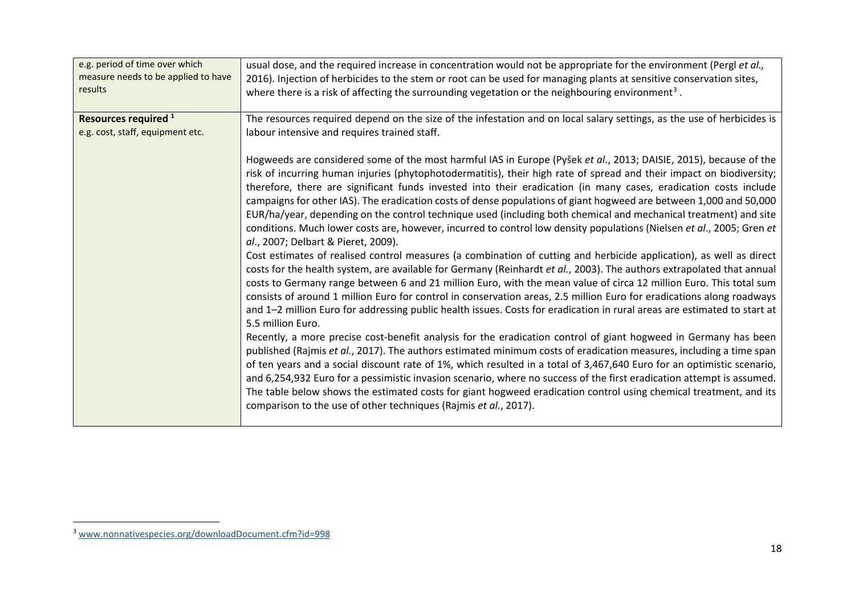<span id="page-17-0"></span>

| e.g. period of time over which      | usual dose, and the required increase in concentration would not be appropriate for the environment (Pergl et al.,                                                                                                                                                                                                                                                                                                                                                                                                                                                                                                                                                                                                                                                                                                                                                                                                                                                                                                                                                                                                                                                                                                                                                                                                                                                                                                                                                                                                                                                                                                                                                                                                                                                                                                                                                                                                                                                                                                                                                                                            |
|-------------------------------------|---------------------------------------------------------------------------------------------------------------------------------------------------------------------------------------------------------------------------------------------------------------------------------------------------------------------------------------------------------------------------------------------------------------------------------------------------------------------------------------------------------------------------------------------------------------------------------------------------------------------------------------------------------------------------------------------------------------------------------------------------------------------------------------------------------------------------------------------------------------------------------------------------------------------------------------------------------------------------------------------------------------------------------------------------------------------------------------------------------------------------------------------------------------------------------------------------------------------------------------------------------------------------------------------------------------------------------------------------------------------------------------------------------------------------------------------------------------------------------------------------------------------------------------------------------------------------------------------------------------------------------------------------------------------------------------------------------------------------------------------------------------------------------------------------------------------------------------------------------------------------------------------------------------------------------------------------------------------------------------------------------------------------------------------------------------------------------------------------------------|
| measure needs to be applied to have | 2016). Injection of herbicides to the stem or root can be used for managing plants at sensitive conservation sites,                                                                                                                                                                                                                                                                                                                                                                                                                                                                                                                                                                                                                                                                                                                                                                                                                                                                                                                                                                                                                                                                                                                                                                                                                                                                                                                                                                                                                                                                                                                                                                                                                                                                                                                                                                                                                                                                                                                                                                                           |
| results                             | where there is a risk of affecting the surrounding vegetation or the neighbouring environment <sup>3</sup> .                                                                                                                                                                                                                                                                                                                                                                                                                                                                                                                                                                                                                                                                                                                                                                                                                                                                                                                                                                                                                                                                                                                                                                                                                                                                                                                                                                                                                                                                                                                                                                                                                                                                                                                                                                                                                                                                                                                                                                                                  |
| Resources required <sup>1</sup>     | The resources required depend on the size of the infestation and on local salary settings, as the use of herbicides is                                                                                                                                                                                                                                                                                                                                                                                                                                                                                                                                                                                                                                                                                                                                                                                                                                                                                                                                                                                                                                                                                                                                                                                                                                                                                                                                                                                                                                                                                                                                                                                                                                                                                                                                                                                                                                                                                                                                                                                        |
| e.g. cost, staff, equipment etc.    | labour intensive and requires trained staff.                                                                                                                                                                                                                                                                                                                                                                                                                                                                                                                                                                                                                                                                                                                                                                                                                                                                                                                                                                                                                                                                                                                                                                                                                                                                                                                                                                                                                                                                                                                                                                                                                                                                                                                                                                                                                                                                                                                                                                                                                                                                  |
|                                     | Hogweeds are considered some of the most harmful IAS in Europe (Pyšek et al., 2013; DAISIE, 2015), because of the<br>risk of incurring human injuries (phytophotodermatitis), their high rate of spread and their impact on biodiversity;<br>therefore, there are significant funds invested into their eradication (in many cases, eradication costs include<br>campaigns for other IAS). The eradication costs of dense populations of giant hogweed are between 1,000 and 50,000<br>EUR/ha/year, depending on the control technique used (including both chemical and mechanical treatment) and site<br>conditions. Much lower costs are, however, incurred to control low density populations (Nielsen et al., 2005; Gren et<br>al., 2007; Delbart & Pieret, 2009).<br>Cost estimates of realised control measures (a combination of cutting and herbicide application), as well as direct<br>costs for the health system, are available for Germany (Reinhardt et al., 2003). The authors extrapolated that annual<br>costs to Germany range between 6 and 21 million Euro, with the mean value of circa 12 million Euro. This total sum<br>consists of around 1 million Euro for control in conservation areas, 2.5 million Euro for eradications along roadways<br>and 1-2 million Euro for addressing public health issues. Costs for eradication in rural areas are estimated to start at<br>5.5 million Euro.<br>Recently, a more precise cost-benefit analysis for the eradication control of giant hogweed in Germany has been<br>published (Rajmis et al., 2017). The authors estimated minimum costs of eradication measures, including a time span<br>of ten years and a social discount rate of 1%, which resulted in a total of 3,467,640 Euro for an optimistic scenario,<br>and 6,254,932 Euro for a pessimistic invasion scenario, where no success of the first eradication attempt is assumed.<br>The table below shows the estimated costs for giant hogweed eradication control using chemical treatment, and its<br>comparison to the use of other techniques (Rajmis et al., 2017). |

 <sup>3</sup> [www.nonnativespecies.org/downloadDocument.cfm?id=998](http://www.nonnativespecies.org/downloadDocument.cfm?id=998)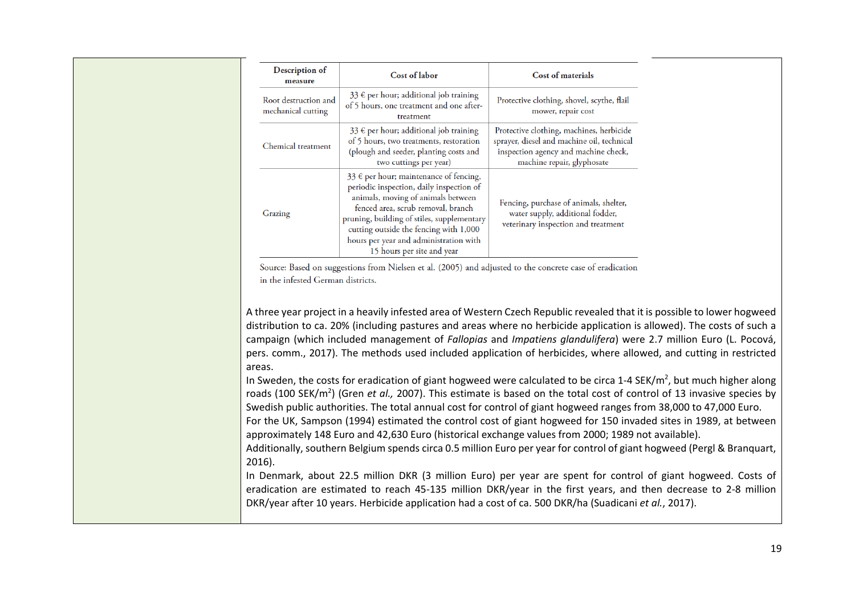| Description of<br>measure                  | <b>Cost of labor</b>                                                                                                                                                                                                                                                                                                           | <b>Cost of materials</b>                                                                                                                                     |  |  |  |  |
|--------------------------------------------|--------------------------------------------------------------------------------------------------------------------------------------------------------------------------------------------------------------------------------------------------------------------------------------------------------------------------------|--------------------------------------------------------------------------------------------------------------------------------------------------------------|--|--|--|--|
| Root destruction and<br>mechanical cutting | 33 € per hour; additional job training<br>of 5 hours, one treatment and one after-<br>treatment                                                                                                                                                                                                                                | Protective clothing, shovel, scythe, flail<br>mower, repair cost                                                                                             |  |  |  |  |
| Chemical treatment                         | 33 € per hour; additional job training<br>of 5 hours, two treatments, restoration<br>(plough and seeder, planting costs and<br>two cuttings per year)                                                                                                                                                                          | Protective clothing, machines, herbicide<br>sprayer, diesel and machine oil, technical<br>inspection agency and machine check,<br>machine repair, glyphosate |  |  |  |  |
| Grazing                                    | 33 € per hour; maintenance of fencing,<br>periodic inspection, daily inspection of<br>animals, moving of animals between<br>fenced area, scrub removal, branch<br>pruning, building of stiles, supplementary<br>cutting outside the fencing with 1,000<br>hours per year and administration with<br>15 hours per site and year | Fencing, purchase of animals, shelter,<br>water supply, additional fodder,<br>veterinary inspection and treatment                                            |  |  |  |  |

Source: Based on suggestions from Nielsen et al. (2005) and adjusted to the concrete case of eradication in the infested German districts.

A three year project in a heavily infested area of Western Czech Republic revealed that it is possible to lower hogweed distribution to ca. 20% (including pastures and areas where no herbicide application is allowed). The costs of such a campaign (which included management of *Fallopias* and *Impatiens glandulifera*) were 2.7 million Euro (L. Pocová, pers. comm., 2017). The methods used included application of herbicides, where allowed, and cutting in restricted areas.

In Sweden, the costs for eradication of giant hogweed were calculated to be circa 1-4 SEK/m<sup>2</sup>, but much higher along roads (100 SEK/m<sup>2</sup>) (Gren *et al.,* 2007). This estimate is based on the total cost of control of 13 invasive species by Swedish public authorities. The total annual cost for control of giant hogweed ranges from 38,000 to 47,000 Euro.

For the UK, Sampson (1994) estimated the control cost of giant hogweed for 150 invaded sites in 1989, at between approximately 148 Euro and 42,630 Euro (historical exchange values from 2000; 1989 not available).

Additionally, southern Belgium spends circa 0.5 million Euro per year for control of giant hogweed (Pergl & Branquart, 2016).

In Denmark, about 22.5 million DKR (3 million Euro) per year are spent for control of giant hogweed. Costs of eradication are estimated to reach 45-135 million DKR/year in the first years, and then decrease to 2-8 million DKR/year after 10 years. Herbicide application had a cost of ca. 500 DKR/ha (Suadicani *et al.*, 2017).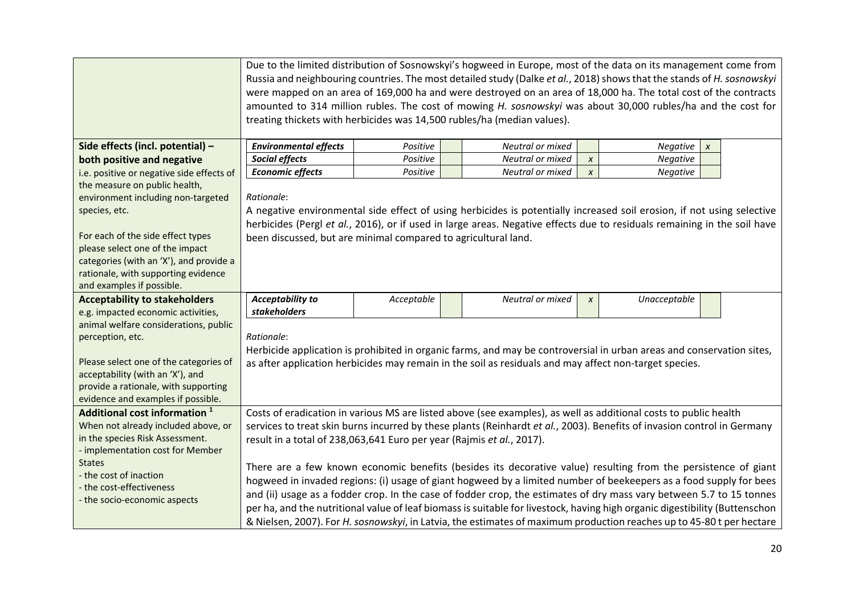|                                                                             |                                                                       | Due to the limited distribution of Sosnowskyi's hogweed in Europe, most of the data on its management come from<br>Russia and neighbouring countries. The most detailed study (Dalke et al., 2018) shows that the stands of H. sosnowskyi<br>were mapped on an area of 169,000 ha and were destroyed on an area of 18,000 ha. The total cost of the contracts<br>amounted to 314 million rubles. The cost of mowing H. sosnowskyi was about 30,000 rubles/ha and the cost for<br>treating thickets with herbicides was 14,500 rubles/ha (median values). |  |                                                                                                        |                  |                                                                                                                             |  |  |  |  |  |
|-----------------------------------------------------------------------------|-----------------------------------------------------------------------|----------------------------------------------------------------------------------------------------------------------------------------------------------------------------------------------------------------------------------------------------------------------------------------------------------------------------------------------------------------------------------------------------------------------------------------------------------------------------------------------------------------------------------------------------------|--|--------------------------------------------------------------------------------------------------------|------------------|-----------------------------------------------------------------------------------------------------------------------------|--|--|--|--|--|
| Side effects (incl. potential) -                                            | <b>Environmental effects</b>                                          | Positive                                                                                                                                                                                                                                                                                                                                                                                                                                                                                                                                                 |  | Neutral or mixed                                                                                       |                  | Negative<br>$\boldsymbol{x}$                                                                                                |  |  |  |  |  |
| both positive and negative                                                  | Social effects                                                        | Positive                                                                                                                                                                                                                                                                                                                                                                                                                                                                                                                                                 |  | Neutral or mixed                                                                                       | $\pmb{\chi}$     | Negative                                                                                                                    |  |  |  |  |  |
| i.e. positive or negative side effects of                                   | <b>Economic effects</b>                                               | Positive                                                                                                                                                                                                                                                                                                                                                                                                                                                                                                                                                 |  | Neutral or mixed                                                                                       | $\boldsymbol{x}$ | Negative                                                                                                                    |  |  |  |  |  |
| the measure on public health,                                               |                                                                       |                                                                                                                                                                                                                                                                                                                                                                                                                                                                                                                                                          |  |                                                                                                        |                  |                                                                                                                             |  |  |  |  |  |
| environment including non-targeted                                          | Rationale:                                                            |                                                                                                                                                                                                                                                                                                                                                                                                                                                                                                                                                          |  |                                                                                                        |                  |                                                                                                                             |  |  |  |  |  |
| species, etc.                                                               |                                                                       |                                                                                                                                                                                                                                                                                                                                                                                                                                                                                                                                                          |  |                                                                                                        |                  | A negative environmental side effect of using herbicides is potentially increased soil erosion, if not using selective      |  |  |  |  |  |
|                                                                             |                                                                       |                                                                                                                                                                                                                                                                                                                                                                                                                                                                                                                                                          |  |                                                                                                        |                  | herbicides (Pergl et al., 2016), or if used in large areas. Negative effects due to residuals remaining in the soil have    |  |  |  |  |  |
| For each of the side effect types                                           | been discussed, but are minimal compared to agricultural land.        |                                                                                                                                                                                                                                                                                                                                                                                                                                                                                                                                                          |  |                                                                                                        |                  |                                                                                                                             |  |  |  |  |  |
| please select one of the impact                                             |                                                                       |                                                                                                                                                                                                                                                                                                                                                                                                                                                                                                                                                          |  |                                                                                                        |                  |                                                                                                                             |  |  |  |  |  |
| categories (with an 'X'), and provide a                                     |                                                                       |                                                                                                                                                                                                                                                                                                                                                                                                                                                                                                                                                          |  |                                                                                                        |                  |                                                                                                                             |  |  |  |  |  |
| rationale, with supporting evidence                                         |                                                                       |                                                                                                                                                                                                                                                                                                                                                                                                                                                                                                                                                          |  |                                                                                                        |                  |                                                                                                                             |  |  |  |  |  |
| and examples if possible.                                                   |                                                                       |                                                                                                                                                                                                                                                                                                                                                                                                                                                                                                                                                          |  |                                                                                                        |                  |                                                                                                                             |  |  |  |  |  |
| <b>Acceptability to stakeholders</b>                                        | <b>Acceptability to</b><br>stakeholders                               | Acceptable                                                                                                                                                                                                                                                                                                                                                                                                                                                                                                                                               |  | Neutral or mixed                                                                                       | $\pmb{\chi}$     | Unacceptable                                                                                                                |  |  |  |  |  |
| e.g. impacted economic activities,<br>animal welfare considerations, public |                                                                       |                                                                                                                                                                                                                                                                                                                                                                                                                                                                                                                                                          |  |                                                                                                        |                  |                                                                                                                             |  |  |  |  |  |
| perception, etc.                                                            | Rationale:                                                            |                                                                                                                                                                                                                                                                                                                                                                                                                                                                                                                                                          |  |                                                                                                        |                  |                                                                                                                             |  |  |  |  |  |
|                                                                             |                                                                       |                                                                                                                                                                                                                                                                                                                                                                                                                                                                                                                                                          |  |                                                                                                        |                  | Herbicide application is prohibited in organic farms, and may be controversial in urban areas and conservation sites,       |  |  |  |  |  |
| Please select one of the categories of                                      |                                                                       |                                                                                                                                                                                                                                                                                                                                                                                                                                                                                                                                                          |  | as after application herbicides may remain in the soil as residuals and may affect non-target species. |                  |                                                                                                                             |  |  |  |  |  |
| acceptability (with an 'X'), and                                            |                                                                       |                                                                                                                                                                                                                                                                                                                                                                                                                                                                                                                                                          |  |                                                                                                        |                  |                                                                                                                             |  |  |  |  |  |
| provide a rationale, with supporting                                        |                                                                       |                                                                                                                                                                                                                                                                                                                                                                                                                                                                                                                                                          |  |                                                                                                        |                  |                                                                                                                             |  |  |  |  |  |
| evidence and examples if possible.                                          |                                                                       |                                                                                                                                                                                                                                                                                                                                                                                                                                                                                                                                                          |  |                                                                                                        |                  |                                                                                                                             |  |  |  |  |  |
| Additional cost information <sup>1</sup>                                    |                                                                       |                                                                                                                                                                                                                                                                                                                                                                                                                                                                                                                                                          |  |                                                                                                        |                  | Costs of eradication in various MS are listed above (see examples), as well as additional costs to public health            |  |  |  |  |  |
| When not already included above, or                                         |                                                                       |                                                                                                                                                                                                                                                                                                                                                                                                                                                                                                                                                          |  |                                                                                                        |                  | services to treat skin burns incurred by these plants (Reinhardt et al., 2003). Benefits of invasion control in Germany     |  |  |  |  |  |
| in the species Risk Assessment.                                             | result in a total of 238,063,641 Euro per year (Rajmis et al., 2017). |                                                                                                                                                                                                                                                                                                                                                                                                                                                                                                                                                          |  |                                                                                                        |                  |                                                                                                                             |  |  |  |  |  |
| - implementation cost for Member                                            |                                                                       |                                                                                                                                                                                                                                                                                                                                                                                                                                                                                                                                                          |  |                                                                                                        |                  |                                                                                                                             |  |  |  |  |  |
| <b>States</b>                                                               |                                                                       |                                                                                                                                                                                                                                                                                                                                                                                                                                                                                                                                                          |  |                                                                                                        |                  | There are a few known economic benefits (besides its decorative value) resulting from the persistence of giant              |  |  |  |  |  |
| - the cost of inaction                                                      |                                                                       |                                                                                                                                                                                                                                                                                                                                                                                                                                                                                                                                                          |  |                                                                                                        |                  | hogweed in invaded regions: (i) usage of giant hogweed by a limited number of beekeepers as a food supply for bees          |  |  |  |  |  |
| - the cost-effectiveness                                                    |                                                                       |                                                                                                                                                                                                                                                                                                                                                                                                                                                                                                                                                          |  |                                                                                                        |                  | and (ii) usage as a fodder crop. In the case of fodder crop, the estimates of dry mass vary between 5.7 to 15 tonnes        |  |  |  |  |  |
| - the socio-economic aspects                                                |                                                                       |                                                                                                                                                                                                                                                                                                                                                                                                                                                                                                                                                          |  |                                                                                                        |                  | per ha, and the nutritional value of leaf biomass is suitable for livestock, having high organic digestibility (Buttenschon |  |  |  |  |  |
|                                                                             |                                                                       |                                                                                                                                                                                                                                                                                                                                                                                                                                                                                                                                                          |  |                                                                                                        |                  | & Nielsen, 2007). For H. sosnowskyi, in Latvia, the estimates of maximum production reaches up to 45-80 t per hectare       |  |  |  |  |  |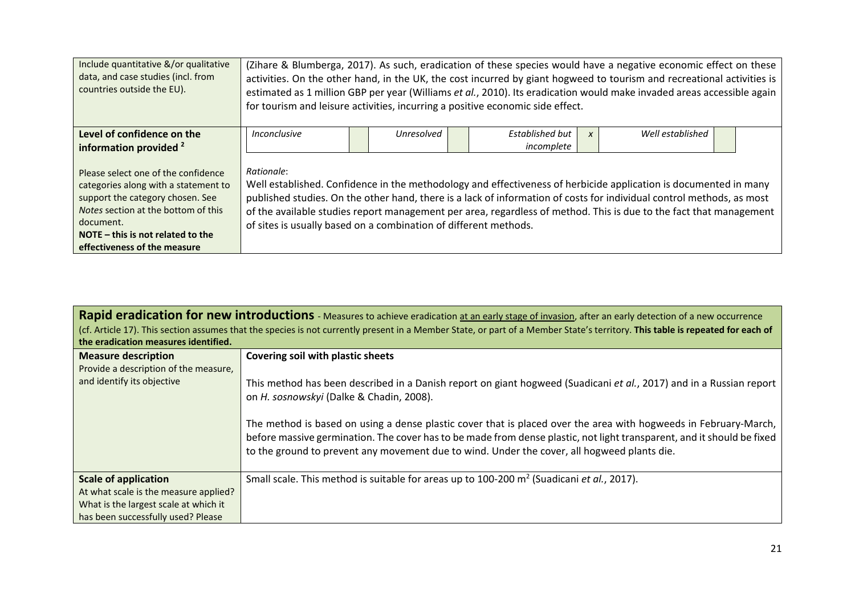| Include quantitative &/or qualitative<br>data, and case studies (incl. from<br>countries outside the EU).                                                                                                                                  | (Zihare & Blumberga, 2017). As such, eradication of these species would have a negative economic effect on these<br>activities. On the other hand, in the UK, the cost incurred by giant hogweed to tourism and recreational activities is<br>estimated as 1 million GBP per year (Williams et al., 2010). Its eradication would make invaded areas accessible again<br>for tourism and leisure activities, incurring a positive economic side effect. |                                                          |  |            |  |                                                                                                                                                                                                                                                                                                                                                                 |  |  |  |  |  |
|--------------------------------------------------------------------------------------------------------------------------------------------------------------------------------------------------------------------------------------------|--------------------------------------------------------------------------------------------------------------------------------------------------------------------------------------------------------------------------------------------------------------------------------------------------------------------------------------------------------------------------------------------------------------------------------------------------------|----------------------------------------------------------|--|------------|--|-----------------------------------------------------------------------------------------------------------------------------------------------------------------------------------------------------------------------------------------------------------------------------------------------------------------------------------------------------------------|--|--|--|--|--|
| Level of confidence on the                                                                                                                                                                                                                 | Inconclusive                                                                                                                                                                                                                                                                                                                                                                                                                                           | Well established<br>Established but<br><b>Unresolved</b> |  |            |  |                                                                                                                                                                                                                                                                                                                                                                 |  |  |  |  |  |
| information provided <sup>2</sup>                                                                                                                                                                                                          |                                                                                                                                                                                                                                                                                                                                                                                                                                                        |                                                          |  | incomplete |  |                                                                                                                                                                                                                                                                                                                                                                 |  |  |  |  |  |
| Please select one of the confidence<br>categories along with a statement to<br>support the category chosen. See<br>Notes section at the bottom of this<br>document.<br>NOTE $-$ this is not related to the<br>effectiveness of the measure | Rationale:<br>of sites is usually based on a combination of different methods.                                                                                                                                                                                                                                                                                                                                                                         |                                                          |  |            |  | Well established. Confidence in the methodology and effectiveness of herbicide application is documented in many<br>published studies. On the other hand, there is a lack of information of costs for individual control methods, as most<br>of the available studies report management per area, regardless of method. This is due to the fact that management |  |  |  |  |  |

| the eradication measures identified.  | Rapid eradication for new introductions - Measures to achieve eradication at an early stage of invasion, after an early detection of a new occurrence<br>(cf. Article 17). This section assumes that the species is not currently present in a Member State, or part of a Member State's territory. This table is repeated for each of                                                                                                                                                                       |
|---------------------------------------|--------------------------------------------------------------------------------------------------------------------------------------------------------------------------------------------------------------------------------------------------------------------------------------------------------------------------------------------------------------------------------------------------------------------------------------------------------------------------------------------------------------|
| <b>Measure description</b>            | Covering soil with plastic sheets                                                                                                                                                                                                                                                                                                                                                                                                                                                                            |
| Provide a description of the measure, |                                                                                                                                                                                                                                                                                                                                                                                                                                                                                                              |
| and identify its objective            | This method has been described in a Danish report on giant hogweed (Suadicani et al., 2017) and in a Russian report<br>on H. sosnowskyi (Dalke & Chadin, 2008).<br>The method is based on using a dense plastic cover that is placed over the area with hogweeds in February-March,<br>before massive germination. The cover has to be made from dense plastic, not light transparent, and it should be fixed<br>to the ground to prevent any movement due to wind. Under the cover, all hogweed plants die. |
| <b>Scale of application</b>           | Small scale. This method is suitable for areas up to $100-200$ m <sup>2</sup> (Suadicani et al., 2017).                                                                                                                                                                                                                                                                                                                                                                                                      |
| At what scale is the measure applied? |                                                                                                                                                                                                                                                                                                                                                                                                                                                                                                              |
| What is the largest scale at which it |                                                                                                                                                                                                                                                                                                                                                                                                                                                                                                              |
| has been successfully used? Please    |                                                                                                                                                                                                                                                                                                                                                                                                                                                                                                              |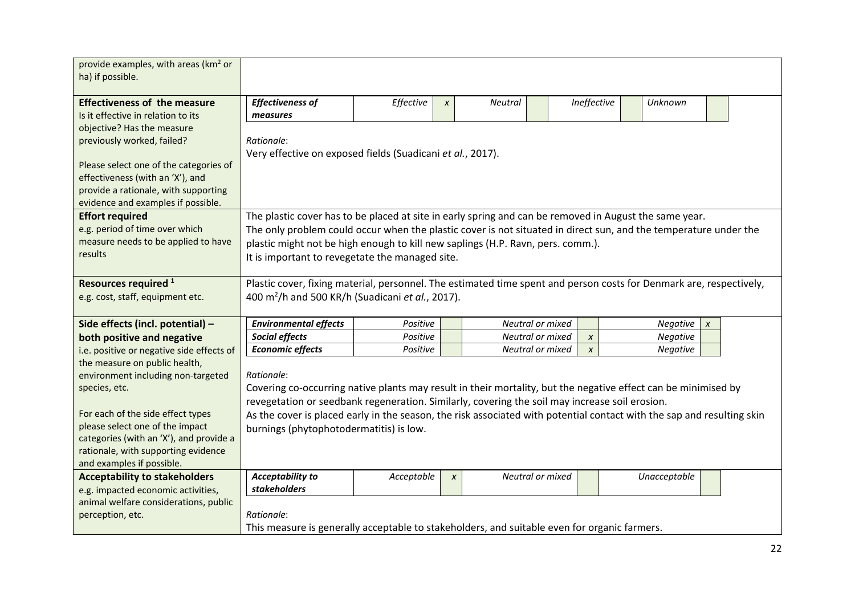| provide examples, with areas (km <sup>2</sup> or<br>ha) if possible.       |                                                                                                                        |            |              |                  |                  |                 |                  |  |
|----------------------------------------------------------------------------|------------------------------------------------------------------------------------------------------------------------|------------|--------------|------------------|------------------|-----------------|------------------|--|
| <b>Effectiveness of the measure</b>                                        | <b>Effectiveness of</b>                                                                                                | Effective  | $\pmb{\chi}$ | Neutral          | Ineffective      | Unknown         |                  |  |
| Is it effective in relation to its                                         | measures                                                                                                               |            |              |                  |                  |                 |                  |  |
| objective? Has the measure                                                 |                                                                                                                        |            |              |                  |                  |                 |                  |  |
| previously worked, failed?                                                 | Rationale:                                                                                                             |            |              |                  |                  |                 |                  |  |
|                                                                            | Very effective on exposed fields (Suadicani et al., 2017).                                                             |            |              |                  |                  |                 |                  |  |
| Please select one of the categories of                                     |                                                                                                                        |            |              |                  |                  |                 |                  |  |
| effectiveness (with an 'X'), and                                           |                                                                                                                        |            |              |                  |                  |                 |                  |  |
| provide a rationale, with supporting<br>evidence and examples if possible. |                                                                                                                        |            |              |                  |                  |                 |                  |  |
| <b>Effort required</b>                                                     | The plastic cover has to be placed at site in early spring and can be removed in August the same year.                 |            |              |                  |                  |                 |                  |  |
| e.g. period of time over which                                             | The only problem could occur when the plastic cover is not situated in direct sun, and the temperature under the       |            |              |                  |                  |                 |                  |  |
| measure needs to be applied to have                                        | plastic might not be high enough to kill new saplings (H.P. Ravn, pers. comm.).                                        |            |              |                  |                  |                 |                  |  |
| results                                                                    | It is important to revegetate the managed site.                                                                        |            |              |                  |                  |                 |                  |  |
|                                                                            |                                                                                                                        |            |              |                  |                  |                 |                  |  |
| Resources required <sup>1</sup>                                            | Plastic cover, fixing material, personnel. The estimated time spent and person costs for Denmark are, respectively,    |            |              |                  |                  |                 |                  |  |
| e.g. cost, staff, equipment etc.                                           | 400 m <sup>2</sup> /h and 500 KR/h (Suadicani et al., 2017).                                                           |            |              |                  |                  |                 |                  |  |
|                                                                            |                                                                                                                        |            |              |                  |                  |                 |                  |  |
| Side effects (incl. potential) -                                           | <b>Environmental effects</b>                                                                                           | Positive   |              | Neutral or mixed |                  | <b>Negative</b> | $\boldsymbol{x}$ |  |
| both positive and negative                                                 | Social effects                                                                                                         | Positive   |              | Neutral or mixed | $\pmb{\chi}$     | Negative        |                  |  |
| i.e. positive or negative side effects of                                  | <b>Economic effects</b>                                                                                                | Positive   |              | Neutral or mixed | $\boldsymbol{x}$ | Negative        |                  |  |
| the measure on public health,                                              |                                                                                                                        |            |              |                  |                  |                 |                  |  |
| environment including non-targeted                                         | Rationale:                                                                                                             |            |              |                  |                  |                 |                  |  |
| species, etc.                                                              | Covering co-occurring native plants may result in their mortality, but the negative effect can be minimised by         |            |              |                  |                  |                 |                  |  |
|                                                                            | revegetation or seedbank regeneration. Similarly, covering the soil may increase soil erosion.                         |            |              |                  |                  |                 |                  |  |
| For each of the side effect types<br>please select one of the impact       | As the cover is placed early in the season, the risk associated with potential contact with the sap and resulting skin |            |              |                  |                  |                 |                  |  |
| categories (with an 'X'), and provide a                                    | burnings (phytophotodermatitis) is low.                                                                                |            |              |                  |                  |                 |                  |  |
| rationale, with supporting evidence                                        |                                                                                                                        |            |              |                  |                  |                 |                  |  |
| and examples if possible.                                                  |                                                                                                                        |            |              |                  |                  |                 |                  |  |
| <b>Acceptability to stakeholders</b>                                       | <b>Acceptability to</b>                                                                                                | Acceptable | $\pmb{\chi}$ | Neutral or mixed |                  | Unacceptable    |                  |  |
| e.g. impacted economic activities,                                         | stakeholders                                                                                                           |            |              |                  |                  |                 |                  |  |
| animal welfare considerations, public                                      |                                                                                                                        |            |              |                  |                  |                 |                  |  |
| perception, etc.                                                           | Rationale:                                                                                                             |            |              |                  |                  |                 |                  |  |
|                                                                            | This measure is generally acceptable to stakeholders, and suitable even for organic farmers.                           |            |              |                  |                  |                 |                  |  |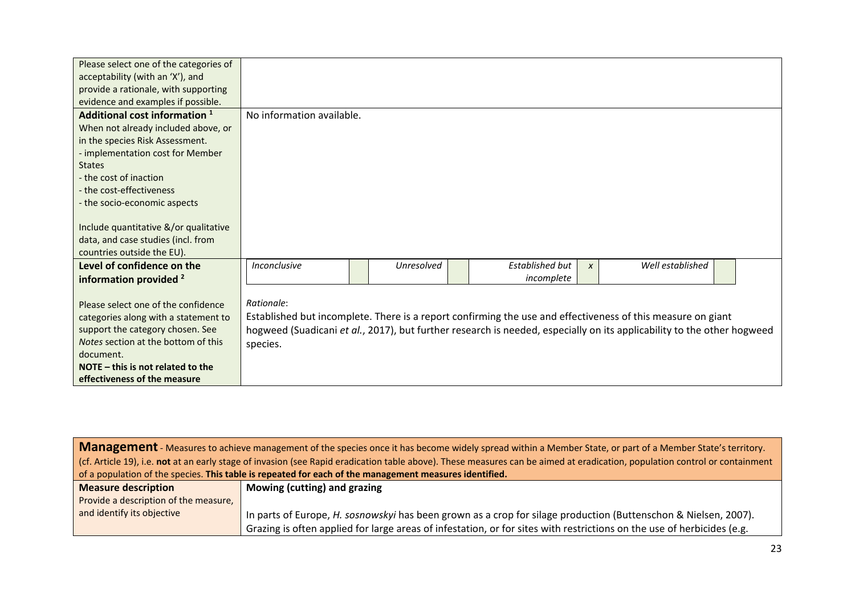| Please select one of the categories of<br>acceptability (with an 'X'), and<br>provide a rationale, with supporting<br>evidence and examples if possible.                                                                                                                                                                                                        |                           |            |                               |                  |                                                                                                                                                                                                                                       |  |
|-----------------------------------------------------------------------------------------------------------------------------------------------------------------------------------------------------------------------------------------------------------------------------------------------------------------------------------------------------------------|---------------------------|------------|-------------------------------|------------------|---------------------------------------------------------------------------------------------------------------------------------------------------------------------------------------------------------------------------------------|--|
| Additional cost information 1<br>When not already included above, or<br>in the species Risk Assessment.<br>- implementation cost for Member<br><b>States</b><br>- the cost of inaction<br>- the cost-effectiveness<br>- the socio-economic aspects<br>Include quantitative &/or qualitative<br>data, and case studies (incl. from<br>countries outside the EU). | No information available. |            |                               |                  |                                                                                                                                                                                                                                       |  |
| Level of confidence on the<br>information provided <sup>2</sup>                                                                                                                                                                                                                                                                                                 | Inconclusive              | Unresolved | Established but<br>incomplete | $\boldsymbol{x}$ | Well established                                                                                                                                                                                                                      |  |
| Please select one of the confidence<br>categories along with a statement to<br>support the category chosen. See<br>Notes section at the bottom of this<br>document.<br>NOTE $-$ this is not related to the<br>effectiveness of the measure                                                                                                                      | Rationale:<br>species.    |            |                               |                  | Established but incomplete. There is a report confirming the use and effectiveness of this measure on giant<br>hogweed (Suadicani et al., 2017), but further research is needed, especially on its applicability to the other hogweed |  |

| Management - Measures to achieve management of the species once it has become widely spread within a Member State, or part of a Member State's territory.                          |
|------------------------------------------------------------------------------------------------------------------------------------------------------------------------------------|
| (cf. Article 19), i.e. <b>not</b> at an early stage of invasion (see Rapid eradication table above). These measures can be aimed at eradication, population control or containment |
| of a population of the species. This table is repeated for each of the management measures identified.                                                                             |

| <b>Measure description</b>            | Mowing (cutting) and grazing                                                                                           |
|---------------------------------------|------------------------------------------------------------------------------------------------------------------------|
| Provide a description of the measure, |                                                                                                                        |
| and identify its objective            | In parts of Europe, H. sosnowskyi has been grown as a crop for silage production (Buttenschon & Nielsen, 2007).        |
|                                       | Grazing is often applied for large areas of infestation, or for sites with restrictions on the use of herbicides (e.g. |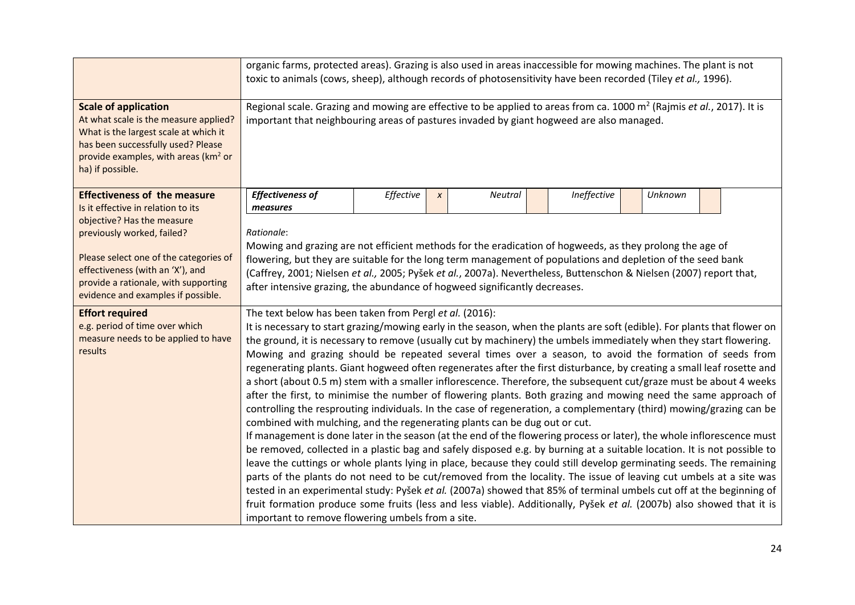|                                                                                                                                                                                                                             | organic farms, protected areas). Grazing is also used in areas inaccessible for mowing machines. The plant is not<br>toxic to animals (cows, sheep), although records of photosensitivity have been recorded (Tiley et al., 1996).                                                                                                                                                                                                                                                                                                                                                                                                                                                                                                                                                                                                                                                                                                                                                                                                                                                                                                                                                                                                                                                                                                                                                                                                                                                                                                                                                                                                                                                                                                                                                                     |           |                  |                |             |         |  |  |  |  |
|-----------------------------------------------------------------------------------------------------------------------------------------------------------------------------------------------------------------------------|--------------------------------------------------------------------------------------------------------------------------------------------------------------------------------------------------------------------------------------------------------------------------------------------------------------------------------------------------------------------------------------------------------------------------------------------------------------------------------------------------------------------------------------------------------------------------------------------------------------------------------------------------------------------------------------------------------------------------------------------------------------------------------------------------------------------------------------------------------------------------------------------------------------------------------------------------------------------------------------------------------------------------------------------------------------------------------------------------------------------------------------------------------------------------------------------------------------------------------------------------------------------------------------------------------------------------------------------------------------------------------------------------------------------------------------------------------------------------------------------------------------------------------------------------------------------------------------------------------------------------------------------------------------------------------------------------------------------------------------------------------------------------------------------------------|-----------|------------------|----------------|-------------|---------|--|--|--|--|
| <b>Scale of application</b><br>At what scale is the measure applied?<br>What is the largest scale at which it<br>has been successfully used? Please<br>provide examples, with areas (km <sup>2</sup> or<br>ha) if possible. | Regional scale. Grazing and mowing are effective to be applied to areas from ca. 1000 m <sup>2</sup> (Rajmis et al., 2017). It is<br>important that neighbouring areas of pastures invaded by giant hogweed are also managed.                                                                                                                                                                                                                                                                                                                                                                                                                                                                                                                                                                                                                                                                                                                                                                                                                                                                                                                                                                                                                                                                                                                                                                                                                                                                                                                                                                                                                                                                                                                                                                          |           |                  |                |             |         |  |  |  |  |
| <b>Effectiveness of the measure</b><br>Is it effective in relation to its                                                                                                                                                   | <b>Effectiveness of</b><br>measures                                                                                                                                                                                                                                                                                                                                                                                                                                                                                                                                                                                                                                                                                                                                                                                                                                                                                                                                                                                                                                                                                                                                                                                                                                                                                                                                                                                                                                                                                                                                                                                                                                                                                                                                                                    | Effective | $\boldsymbol{x}$ | <b>Neutral</b> | Ineffective | Unknown |  |  |  |  |
| objective? Has the measure<br>previously worked, failed?<br>Please select one of the categories of<br>effectiveness (with an 'X'), and<br>provide a rationale, with supporting<br>evidence and examples if possible.        | Rationale:<br>Mowing and grazing are not efficient methods for the eradication of hogweeds, as they prolong the age of<br>flowering, but they are suitable for the long term management of populations and depletion of the seed bank<br>(Caffrey, 2001; Nielsen et al., 2005; Pyšek et al., 2007a). Nevertheless, Buttenschon & Nielsen (2007) report that,<br>after intensive grazing, the abundance of hogweed significantly decreases.                                                                                                                                                                                                                                                                                                                                                                                                                                                                                                                                                                                                                                                                                                                                                                                                                                                                                                                                                                                                                                                                                                                                                                                                                                                                                                                                                             |           |                  |                |             |         |  |  |  |  |
| <b>Effort required</b><br>e.g. period of time over which<br>measure needs to be applied to have<br>results                                                                                                                  | The text below has been taken from Pergl et al. (2016):<br>It is necessary to start grazing/mowing early in the season, when the plants are soft (edible). For plants that flower on<br>the ground, it is necessary to remove (usually cut by machinery) the umbels immediately when they start flowering.<br>Mowing and grazing should be repeated several times over a season, to avoid the formation of seeds from<br>regenerating plants. Giant hogweed often regenerates after the first disturbance, by creating a small leaf rosette and<br>a short (about 0.5 m) stem with a smaller inflorescence. Therefore, the subsequent cut/graze must be about 4 weeks<br>after the first, to minimise the number of flowering plants. Both grazing and mowing need the same approach of<br>controlling the resprouting individuals. In the case of regeneration, a complementary (third) mowing/grazing can be<br>combined with mulching, and the regenerating plants can be dug out or cut.<br>If management is done later in the season (at the end of the flowering process or later), the whole inflorescence must<br>be removed, collected in a plastic bag and safely disposed e.g. by burning at a suitable location. It is not possible to<br>leave the cuttings or whole plants lying in place, because they could still develop germinating seeds. The remaining<br>parts of the plants do not need to be cut/removed from the locality. The issue of leaving cut umbels at a site was<br>tested in an experimental study: Pyšek et al. (2007a) showed that 85% of terminal umbels cut off at the beginning of<br>fruit formation produce some fruits (less and less viable). Additionally, Pyšek et al. (2007b) also showed that it is<br>important to remove flowering umbels from a site. |           |                  |                |             |         |  |  |  |  |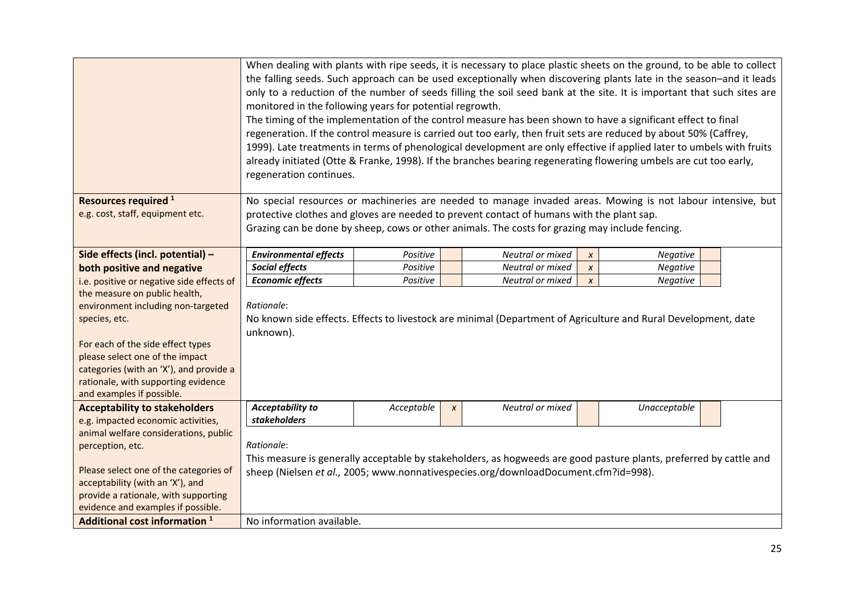|                                                                                | When dealing with plants with ripe seeds, it is necessary to place plastic sheets on the ground, to be able to collect<br>the falling seeds. Such approach can be used exceptionally when discovering plants late in the season-and it leads<br>only to a reduction of the number of seeds filling the soil seed bank at the site. It is important that such sites are<br>monitored in the following years for potential regrowth.<br>The timing of the implementation of the control measure has been shown to have a significant effect to final<br>regeneration. If the control measure is carried out too early, then fruit sets are reduced by about 50% (Caffrey,<br>1999). Late treatments in terms of phenological development are only effective if applied later to umbels with fruits<br>already initiated (Otte & Franke, 1998). If the branches bearing regenerating flowering umbels are cut too early,<br>regeneration continues. |            |              |                                                                                     |                  |                                                                                                                    |  |  |  |  |
|--------------------------------------------------------------------------------|--------------------------------------------------------------------------------------------------------------------------------------------------------------------------------------------------------------------------------------------------------------------------------------------------------------------------------------------------------------------------------------------------------------------------------------------------------------------------------------------------------------------------------------------------------------------------------------------------------------------------------------------------------------------------------------------------------------------------------------------------------------------------------------------------------------------------------------------------------------------------------------------------------------------------------------------------|------------|--------------|-------------------------------------------------------------------------------------|------------------|--------------------------------------------------------------------------------------------------------------------|--|--|--|--|
| Resources required <sup>1</sup>                                                | No special resources or machineries are needed to manage invaded areas. Mowing is not labour intensive, but                                                                                                                                                                                                                                                                                                                                                                                                                                                                                                                                                                                                                                                                                                                                                                                                                                      |            |              |                                                                                     |                  |                                                                                                                    |  |  |  |  |
| e.g. cost, staff, equipment etc.                                               | protective clothes and gloves are needed to prevent contact of humans with the plant sap.                                                                                                                                                                                                                                                                                                                                                                                                                                                                                                                                                                                                                                                                                                                                                                                                                                                        |            |              |                                                                                     |                  |                                                                                                                    |  |  |  |  |
|                                                                                | Grazing can be done by sheep, cows or other animals. The costs for grazing may include fencing.                                                                                                                                                                                                                                                                                                                                                                                                                                                                                                                                                                                                                                                                                                                                                                                                                                                  |            |              |                                                                                     |                  |                                                                                                                    |  |  |  |  |
| Side effects (incl. potential) -                                               | <b>Environmental effects</b>                                                                                                                                                                                                                                                                                                                                                                                                                                                                                                                                                                                                                                                                                                                                                                                                                                                                                                                     | Positive   |              | Neutral or mixed                                                                    | $\pmb{\chi}$     | Negative                                                                                                           |  |  |  |  |
| both positive and negative                                                     | Social effects                                                                                                                                                                                                                                                                                                                                                                                                                                                                                                                                                                                                                                                                                                                                                                                                                                                                                                                                   | Positive   |              | Neutral or mixed                                                                    | $\pmb{\chi}$     | Negative                                                                                                           |  |  |  |  |
| i.e. positive or negative side effects of                                      | <b>Economic effects</b>                                                                                                                                                                                                                                                                                                                                                                                                                                                                                                                                                                                                                                                                                                                                                                                                                                                                                                                          | Positive   |              | Neutral or mixed                                                                    | $\boldsymbol{x}$ | Negative                                                                                                           |  |  |  |  |
| the measure on public health,                                                  |                                                                                                                                                                                                                                                                                                                                                                                                                                                                                                                                                                                                                                                                                                                                                                                                                                                                                                                                                  |            |              |                                                                                     |                  |                                                                                                                    |  |  |  |  |
| environment including non-targeted                                             | Rationale:                                                                                                                                                                                                                                                                                                                                                                                                                                                                                                                                                                                                                                                                                                                                                                                                                                                                                                                                       |            |              |                                                                                     |                  |                                                                                                                    |  |  |  |  |
| species, etc.                                                                  |                                                                                                                                                                                                                                                                                                                                                                                                                                                                                                                                                                                                                                                                                                                                                                                                                                                                                                                                                  |            |              |                                                                                     |                  | No known side effects. Effects to livestock are minimal (Department of Agriculture and Rural Development, date     |  |  |  |  |
|                                                                                | unknown).                                                                                                                                                                                                                                                                                                                                                                                                                                                                                                                                                                                                                                                                                                                                                                                                                                                                                                                                        |            |              |                                                                                     |                  |                                                                                                                    |  |  |  |  |
| For each of the side effect types                                              |                                                                                                                                                                                                                                                                                                                                                                                                                                                                                                                                                                                                                                                                                                                                                                                                                                                                                                                                                  |            |              |                                                                                     |                  |                                                                                                                    |  |  |  |  |
| please select one of the impact                                                |                                                                                                                                                                                                                                                                                                                                                                                                                                                                                                                                                                                                                                                                                                                                                                                                                                                                                                                                                  |            |              |                                                                                     |                  |                                                                                                                    |  |  |  |  |
| categories (with an 'X'), and provide a<br>rationale, with supporting evidence |                                                                                                                                                                                                                                                                                                                                                                                                                                                                                                                                                                                                                                                                                                                                                                                                                                                                                                                                                  |            |              |                                                                                     |                  |                                                                                                                    |  |  |  |  |
| and examples if possible.                                                      |                                                                                                                                                                                                                                                                                                                                                                                                                                                                                                                                                                                                                                                                                                                                                                                                                                                                                                                                                  |            |              |                                                                                     |                  |                                                                                                                    |  |  |  |  |
| <b>Acceptability to stakeholders</b>                                           | <b>Acceptability to</b>                                                                                                                                                                                                                                                                                                                                                                                                                                                                                                                                                                                                                                                                                                                                                                                                                                                                                                                          | Acceptable | $\pmb{\chi}$ | Neutral or mixed                                                                    |                  | Unacceptable                                                                                                       |  |  |  |  |
| e.g. impacted economic activities,                                             | stakeholders                                                                                                                                                                                                                                                                                                                                                                                                                                                                                                                                                                                                                                                                                                                                                                                                                                                                                                                                     |            |              |                                                                                     |                  |                                                                                                                    |  |  |  |  |
| animal welfare considerations, public                                          |                                                                                                                                                                                                                                                                                                                                                                                                                                                                                                                                                                                                                                                                                                                                                                                                                                                                                                                                                  |            |              |                                                                                     |                  |                                                                                                                    |  |  |  |  |
| perception, etc.                                                               | Rationale:                                                                                                                                                                                                                                                                                                                                                                                                                                                                                                                                                                                                                                                                                                                                                                                                                                                                                                                                       |            |              |                                                                                     |                  |                                                                                                                    |  |  |  |  |
|                                                                                |                                                                                                                                                                                                                                                                                                                                                                                                                                                                                                                                                                                                                                                                                                                                                                                                                                                                                                                                                  |            |              |                                                                                     |                  | This measure is generally acceptable by stakeholders, as hogweeds are good pasture plants, preferred by cattle and |  |  |  |  |
| Please select one of the categories of                                         |                                                                                                                                                                                                                                                                                                                                                                                                                                                                                                                                                                                                                                                                                                                                                                                                                                                                                                                                                  |            |              | sheep (Nielsen et al., 2005; www.nonnativespecies.org/downloadDocument.cfm?id=998). |                  |                                                                                                                    |  |  |  |  |
| acceptability (with an 'X'), and                                               |                                                                                                                                                                                                                                                                                                                                                                                                                                                                                                                                                                                                                                                                                                                                                                                                                                                                                                                                                  |            |              |                                                                                     |                  |                                                                                                                    |  |  |  |  |
| provide a rationale, with supporting                                           |                                                                                                                                                                                                                                                                                                                                                                                                                                                                                                                                                                                                                                                                                                                                                                                                                                                                                                                                                  |            |              |                                                                                     |                  |                                                                                                                    |  |  |  |  |
| evidence and examples if possible.<br>Additional cost information <sup>1</sup> |                                                                                                                                                                                                                                                                                                                                                                                                                                                                                                                                                                                                                                                                                                                                                                                                                                                                                                                                                  |            |              |                                                                                     |                  |                                                                                                                    |  |  |  |  |
|                                                                                | No information available.                                                                                                                                                                                                                                                                                                                                                                                                                                                                                                                                                                                                                                                                                                                                                                                                                                                                                                                        |            |              |                                                                                     |                  |                                                                                                                    |  |  |  |  |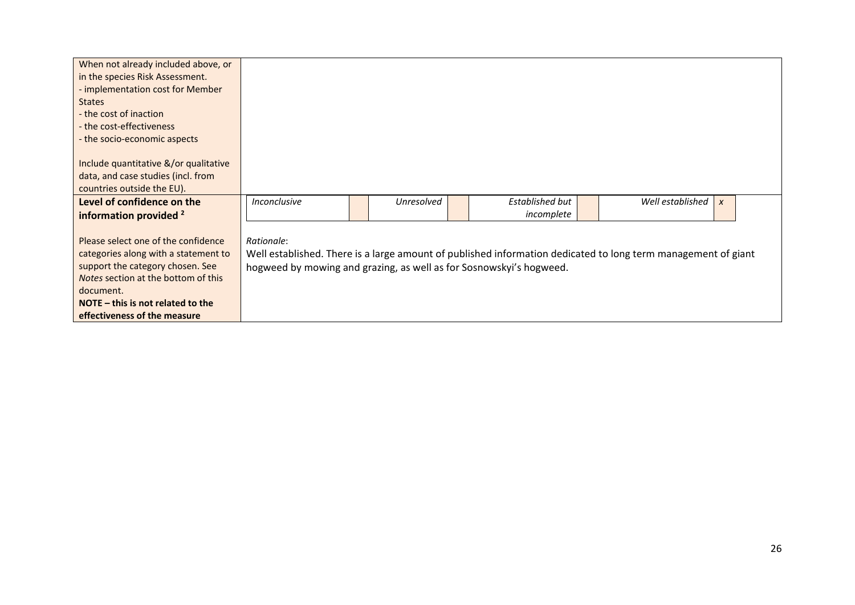| When not already included above, or   |                                                                     |                   |                 |                                                                                                               |                  |  |
|---------------------------------------|---------------------------------------------------------------------|-------------------|-----------------|---------------------------------------------------------------------------------------------------------------|------------------|--|
| in the species Risk Assessment.       |                                                                     |                   |                 |                                                                                                               |                  |  |
| - implementation cost for Member      |                                                                     |                   |                 |                                                                                                               |                  |  |
| <b>States</b>                         |                                                                     |                   |                 |                                                                                                               |                  |  |
| - the cost of inaction                |                                                                     |                   |                 |                                                                                                               |                  |  |
| - the cost-effectiveness              |                                                                     |                   |                 |                                                                                                               |                  |  |
| - the socio-economic aspects          |                                                                     |                   |                 |                                                                                                               |                  |  |
|                                       |                                                                     |                   |                 |                                                                                                               |                  |  |
| Include quantitative &/or qualitative |                                                                     |                   |                 |                                                                                                               |                  |  |
| data, and case studies (incl. from    |                                                                     |                   |                 |                                                                                                               |                  |  |
| countries outside the EU).            |                                                                     |                   |                 |                                                                                                               |                  |  |
| Level of confidence on the            | <i><u><b>Inconclusive</b></u></i>                                   | <b>Unresolved</b> | Established but | Well established                                                                                              | $\boldsymbol{x}$ |  |
| information provided <sup>2</sup>     |                                                                     |                   | incomplete      |                                                                                                               |                  |  |
|                                       |                                                                     |                   |                 |                                                                                                               |                  |  |
| Please select one of the confidence   | Rationale:                                                          |                   |                 |                                                                                                               |                  |  |
| categories along with a statement to  |                                                                     |                   |                 | Well established. There is a large amount of published information dedicated to long term management of giant |                  |  |
| support the category chosen. See      | hogweed by mowing and grazing, as well as for Sosnowskyi's hogweed. |                   |                 |                                                                                                               |                  |  |
| Notes section at the bottom of this   |                                                                     |                   |                 |                                                                                                               |                  |  |
| document.                             |                                                                     |                   |                 |                                                                                                               |                  |  |
| NOTE $-$ this is not related to the   |                                                                     |                   |                 |                                                                                                               |                  |  |
| effectiveness of the measure          |                                                                     |                   |                 |                                                                                                               |                  |  |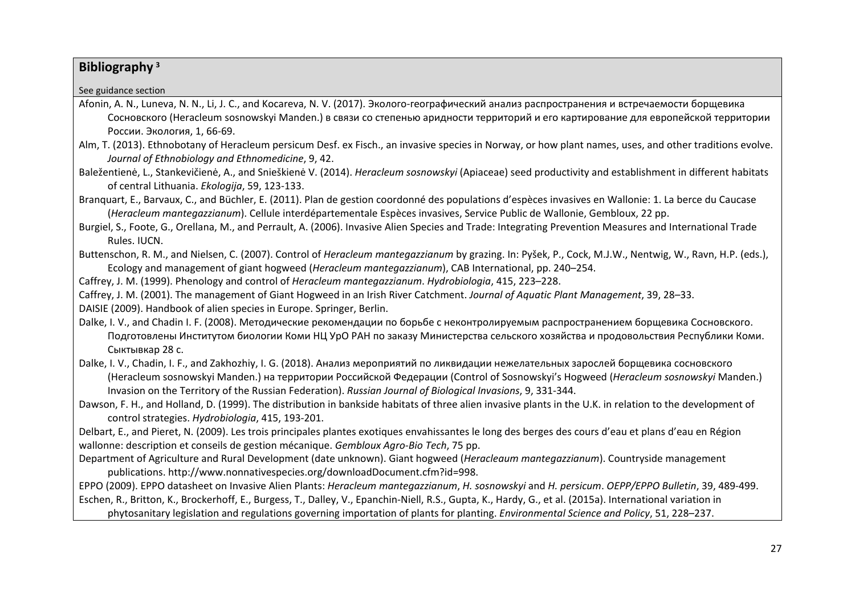## **Bibliography <sup>3</sup>**

See guidance section

- Afonin, A. N., Luneva, N. N., Li, J. C., and Kocareva, N. V. (2017). Эколого-географический анализ распространения и встречаемости борщевика Сосновского (Heracleum sosnowskyi Manden.) в связи со степенью аридности территорий и его картирование для европейской территории России. Экология, 1, 66-69.
- Alm, T. (2013). Ethnobotany of Heracleum persicum Desf. ex Fisch., an invasive species in Norway, or how plant names, uses, and other traditions evolve. *Journal of Ethnobiology and Ethnomedicine*, 9, 42.
- Baležentienė, L., Stankevičienė, A., and Snieškienė V. (2014). *Heracleum sosnowskyi* (Apiaceae) seed productivity and establishment in different habitats of central Lithuania. *Ekologija*, 59, 123-133.
- Branquart, E., Barvaux, C., and Büchler, E. (2011). Plan de gestion coordonné des populations d'espèces invasives en Wallonie: 1. La berce du Caucase (*Heracleum mantegazzianum*). Cellule interdépartementale Espèces invasives, Service Public de Wallonie, Gembloux, 22 pp.
- Burgiel, S., Foote, G., Orellana, M., and Perrault, A. (2006). Invasive Alien Species and Trade: Integrating Prevention Measures and International Trade Rules. IUCN.
- Buttenschon, R. M., and Nielsen, C. (2007). Control of *Heracleum mantegazzianum* by grazing. In: Pyšek, P., Cock, M.J.W., Nentwig, W., Ravn, H.P. (eds.), Ecology and management of giant hogweed (*Heracleum mantegazzianum*), CAB International, pp. 240–254.

Caffrey, J. M. (1999). Phenology and control of *Heracleum mantegazzianum*. *Hydrobiologia*, 415, 223–228.

Caffrey, J. M. (2001). The management of Giant Hogweed in an Irish River Catchment. *Journal of Aquatic Plant Management*, 39, 28–33.

DAISIE (2009). Handbook of alien species in Europe. Springer, Berlin.

- Dalke, I. V., and Chadin I. F. (2008). Методические рекомендации по борьбе с неконтролируемым распространением борщевика Сосновского. Подготовлены Институтом биологии Коми НЦ УрО РАН по заказу Министерства сельского хозяйства и продовольствия Республики Коми. Сыктывкар 28 с.
- Dalke, I. V., Chadin, I. F., and Zakhozhiy, I. G. (2018). Анализ мероприятий по ликвидации нежелательных зарослей борщевика сосновского (Heracleum sosnowskyi Manden.) на территории Российской Федерации (Control of Sosnowskyi's Hogweed (*Heracleum sosnowskyi* Manden.) Invasion on the Territory of the Russian Federation). *Russian Journal of Biological Invasions*, 9, 331-344.
- Dawson, F. H., and Holland, D. (1999). The distribution in bankside habitats of three alien invasive plants in the U.K. in relation to the development of control strategies. *Hydrobiologia*, 415, 193-201.

Delbart, E., and Pieret, N. (2009). Les trois principales plantes exotiques envahissantes le long des berges des cours d'eau et plans d'eau en Région wallonne: description et conseils de gestion mécanique. *Gembloux Agro-Bio Tech*, 75 pp.

Department of Agriculture and Rural Development (date unknown). Giant hogweed (*Heracleaum mantegazzianum*). Countryside management publications. http://www.nonnativespecies.org/downloadDocument.cfm?id=998.

EPPO (2009). EPPO datasheet on Invasive Alien Plants: *Heracleum mantegazzianum*, *H. sosnowskyi* and *H. persicum*. *OEPP/EPPO Bulletin*, 39, 489-499. Eschen, R., Britton, K., Brockerhoff, E., Burgess, T., Dalley, V., Epanchin-Niell, R.S., Gupta, K., Hardy, G., et al. (2015a). International variation in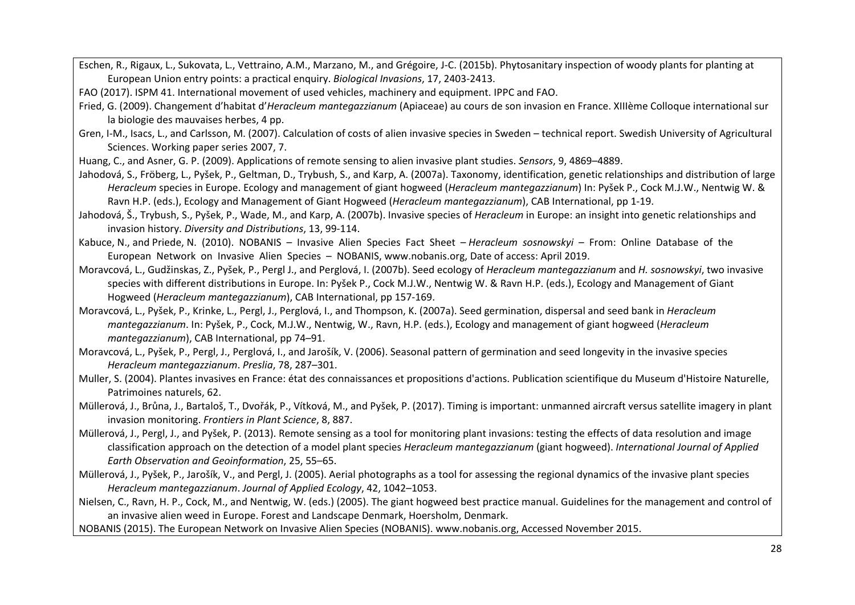Eschen, R., Rigaux, L., Sukovata, L., Vettraino, A.M., Marzano, M., and Grégoire, J-C. (2015b). Phytosanitary inspection of woody plants for planting at European Union entry points: a practical enquiry. *Biological Invasions*, 17, 2403-2413.

FAO (2017). ISPM 41. International movement of used vehicles, machinery and equipment. IPPC and FAO.

- Fried, G. (2009). Changement d'habitat d'*Heracleum mantegazzianum* (Apiaceae) au cours de son invasion en France. XIIIème Colloque international sur la biologie des mauvaises herbes, 4 pp.
- Gren, I-M., Isacs, L., and Carlsson, M. (2007). Calculation of costs of alien invasive species in Sweden technical report. Swedish University of Agricultural Sciences. Working paper series 2007, 7.
- Huang, C., and Asner, G. P. (2009). Applications of remote sensing to alien invasive plant studies. *Sensors*, 9, 4869–4889.
- Jahodová, S., Fröberg, L., Pyšek, P., Geltman, D., Trybush, S., and Karp, A. (2007a). Taxonomy, identification, genetic relationships and distribution of large *Heracleum* species in Europe. Ecology and management of giant hogweed (*Heracleum mantegazzianum*) In: Pyšek P., Cock M.J.W., Nentwig W. & Ravn H.P. (eds.), Ecology and Management of Giant Hogweed (*Heracleum mantegazzianum*), CAB International, pp 1-19.
- Jahodová, Š., Trybush, S., Pyšek, P., Wade, M., and Karp, A. (2007b). Invasive species of *Heracleum* in Europe: an insight into genetic relationships and invasion history. *Diversity and Distributions*, 13, 99-114.
- Kabuce, N., and Priede, N. (2010). NOBANIS Invasive Alien Species Fact Sheet *Heracleum sosnowskyi* From: Online Database of the European Network on Invasive Alien Species – NOBANIS, www.nobanis.org, Date of access: April 2019.
- Moravcová, L., Gudžinskas, Z., Pyšek, P., Pergl J., and Perglová, I. (2007b). Seed ecology of *Heracleum mantegazzianum* and *H. sosnowskyi*, two invasive species with different distributions in Europe. In: Pyšek P., Cock M.J.W., Nentwig W. & Ravn H.P. (eds.), Ecology and Management of Giant Hogweed (*Heracleum mantegazzianum*), CAB International, pp 157-169.
- Moravcová, L., Pyšek, P., Krinke, L., Pergl, J., Perglová, I., and Thompson, K. (2007a). Seed germination, dispersal and seed bank in *Heracleum mantegazzianum*. In: Pyšek, P., Cock, M.J.W., Nentwig, W., Ravn, H.P. (eds.), Ecology and management of giant hogweed (*Heracleum mantegazzianum*), CAB International, pp 74–91.
- Moravcová, L., Pyšek, P., Pergl, J., Perglová, I., and Jarošík, V. (2006). Seasonal pattern of germination and seed longevity in the invasive species *Heracleum mantegazzianum*. *Preslia*, 78, 287–301.
- Muller, S. (2004). Plantes invasives en France: état des connaissances et propositions d'actions. Publication scientifique du Museum d'Histoire Naturelle, Patrimoines naturels, 62.
- Müllerová, J., Brůna, J., Bartaloš, T., Dvořák, P., Vítková, M., and Pyšek, P. (2017). Timing is important: unmanned aircraft versus satellite imagery in plant invasion monitoring. *Frontiers in Plant Science*, 8, 887.
- Müllerová, J., Pergl, J., and Pyšek, P. (2013). Remote sensing as a tool for monitoring plant invasions: testing the effects of data resolution and image classification approach on the detection of a model plant species *Heracleum mantegazzianum* (giant hogweed). *International Journal of Applied Earth Observation and Geoinformation*, 25, 55–65.
- Müllerová, J., Pyšek, P., Jarošík, V., and Pergl, J. (2005). Aerial photographs as a tool for assessing the regional dynamics of the invasive plant species *Heracleum mantegazzianum*. *Journal of Applied Ecology*, 42, 1042–1053.

Nielsen, C., Ravn, H. P., Cock, M., and Nentwig, W. (eds.) (2005). The giant hogweed best practice manual. Guidelines for the management and control of an invasive alien weed in Europe. Forest and Landscape Denmark, Hoersholm, Denmark.

NOBANIS (2015). The European Network on Invasive Alien Species (NOBANIS). www.nobanis.org, Accessed November 2015.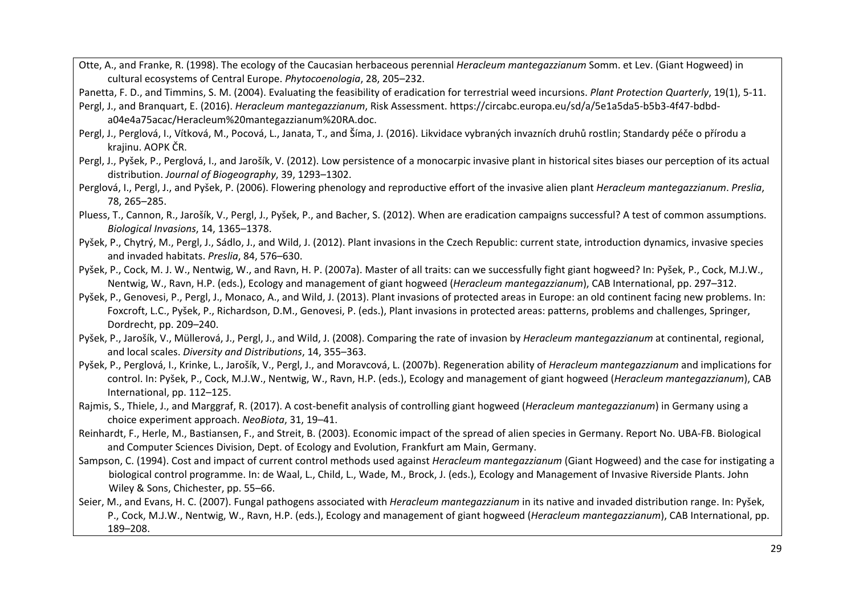Otte, A., and Franke, R. (1998). The ecology of the Caucasian herbaceous perennial *Heracleum mantegazzianum* Somm. et Lev. (Giant Hogweed) in cultural ecosystems of Central Europe. *Phytocoenologia*, 28, 205–232.

Panetta, F. D., and Timmins, S. M. (2004). Evaluating the feasibility of eradication for terrestrial weed incursions. *Plant Protection Quarterly*, 19(1), 5-11.

- Pergl, J., and Branquart, E. (2016). *Heracleum mantegazzianum*, Risk Assessment. https://circabc.europa.eu/sd/a/5e1a5da5-b5b3-4f47-bdbda04e4a75acac/Heracleum%20mantegazzianum%20RA.doc.
- Pergl, J., Perglová, I., Vítková, M., Pocová, L., Janata, T., and Šíma, J. (2016). Likvidace vybraných invazních druhů rostlin; Standardy péče o přírodu a krajinu. AOPK ČR.
- Pergl, J., Pyšek, P., Perglová, I., and Jarošík, V. (2012). Low persistence of a monocarpic invasive plant in historical sites biases our perception of its actual distribution. *Journal of Biogeography*, 39, 1293–1302.
- Perglová, I., Pergl, J., and Pyšek, P. (2006). Flowering phenology and reproductive effort of the invasive alien plant *Heracleum mantegazzianum*. *Preslia*, 78, 265–285.
- Pluess, T., Cannon, R., Jarošík, V., Pergl, J., Pyšek, P., and Bacher, S. (2012). When are eradication campaigns successful? A test of common assumptions. *Biological Invasions*, 14, 1365–1378.
- Pyšek, P., Chytrý, M., Pergl, J., Sádlo, J., and Wild, J. (2012). Plant invasions in the Czech Republic: current state, introduction dynamics, invasive species and invaded habitats. *Preslia*, 84, 576–630.
- Pyšek, P., Cock, M. J. W., Nentwig, W., and Ravn, H. P. (2007a). Master of all traits: can we successfully fight giant hogweed? In: Pyšek, P., Cock, M.J.W., Nentwig, W., Ravn, H.P. (eds.), Ecology and management of giant hogweed (*Heracleum mantegazzianum*), CAB International, pp. 297–312.
- Pyšek, P., Genovesi, P., Pergl, J., Monaco, A., and Wild, J. (2013). Plant invasions of protected areas in Europe: an old continent facing new problems. In: Foxcroft, L.C., Pyšek, P., Richardson, D.M., Genovesi, P. (eds.), Plant invasions in protected areas: patterns, problems and challenges, Springer, Dordrecht, pp. 209–240.
- Pyšek, P., Jarošík, V., Müllerová, J., Pergl, J., and Wild, J. (2008). Comparing the rate of invasion by *Heracleum mantegazzianum* at continental, regional, and local scales. *Diversity and Distributions*, 14, 355–363.
- Pyšek, P., Perglová, I., Krinke, L., Jarošík, V., Pergl, J., and Moravcová, L. (2007b). Regeneration ability of *Heracleum mantegazzianum* and implications for control. In: Pyšek, P., Cock, M.J.W., Nentwig, W., Ravn, H.P. (eds.), Ecology and management of giant hogweed (*Heracleum mantegazzianum*), CAB International, pp. 112–125.
- Rajmis, S., Thiele, J., and Marggraf, R. (2017). A cost-benefit analysis of controlling giant hogweed (*Heracleum mantegazzianum*) in Germany using a choice experiment approach. *NeoBiota*, 31, 19–41.
- Reinhardt, F., Herle, M., Bastiansen, F., and Streit, B. (2003). Economic impact of the spread of alien species in Germany. Report No. UBA-FB. Biological and Computer Sciences Division, Dept. of Ecology and Evolution, Frankfurt am Main, Germany.
- Sampson, C. (1994). Cost and impact of current control methods used against *Heracleum mantegazzianum* (Giant Hogweed) and the case for instigating a biological control programme. In: de Waal, L., Child, L., Wade, M., Brock, J. (eds.), Ecology and Management of Invasive Riverside Plants. John Wiley & Sons, Chichester, pp. 55–66.
- Seier, M., and Evans, H. C. (2007). Fungal pathogens associated with *Heracleum mantegazzianum* in its native and invaded distribution range. In: Pyšek, P., Cock, M.J.W., Nentwig, W., Ravn, H.P. (eds.), Ecology and management of giant hogweed (*Heracleum mantegazzianum*), CAB International, pp. 189–208.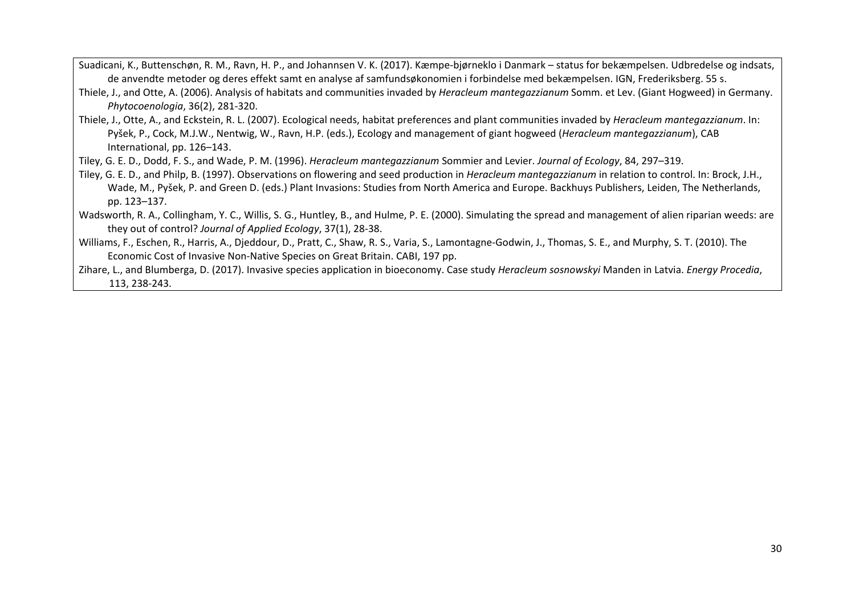Suadicani, K., Buttenschøn, R. M., Ravn, H. P., and Johannsen V. K. (2017). Kæmpe-bjørneklo i Danmark – status for bekæmpelsen. Udbredelse og indsats, de anvendte metoder og deres effekt samt en analyse af samfundsøkonomien i forbindelse med bekæmpelsen. IGN, Frederiksberg. 55 s.

Thiele, J., and Otte, A. (2006). Analysis of habitats and communities invaded by *Heracleum mantegazzianum* Somm. et Lev. (Giant Hogweed) in Germany. *Phytocoenologia*, 36(2), 281-320.

Thiele, J., Otte, A., and Eckstein, R. L. (2007). Ecological needs, habitat preferences and plant communities invaded by *Heracleum mantegazzianum*. In: Pyšek, P., Cock, M.J.W., Nentwig, W., Ravn, H.P. (eds.), Ecology and management of giant hogweed (*Heracleum mantegazzianum*), CAB International, pp. 126–143.

Tiley, G. E. D., Dodd, F. S., and Wade, P. M. (1996). *Heracleum mantegazzianum* Sommier and Levier. *Journal of Ecology*, 84, 297–319.

- Tiley, G. E. D., and Philp, B. (1997). Observations on flowering and seed production in *Heracleum mantegazzianum* in relation to control. In: Brock, J.H., Wade, M., Pyšek, P. and Green D. (eds.) Plant Invasions: Studies from North America and Europe. Backhuys Publishers, Leiden, The Netherlands, pp. 123–137.
- Wadsworth, R. A., Collingham, Y. C., Willis, S. G., Huntley, B., and Hulme, P. E. (2000). Simulating the spread and management of alien riparian weeds: are they out of control? *Journal of Applied Ecology*, 37(1), 28-38.
- Williams, F., Eschen, R., Harris, A., Djeddour, D., Pratt, C., Shaw, R. S., Varia, S., Lamontagne-Godwin, J., Thomas, S. E., and Murphy, S. T. (2010). The Economic Cost of Invasive Non-Native Species on Great Britain. CABI, 197 pp.

Zihare, L., and Blumberga, D. (2017). Invasive species application in bioeconomy. Case study *Heracleum sosnowskyi* Manden in Latvia. *Energy Procedia*, 113, 238-243.